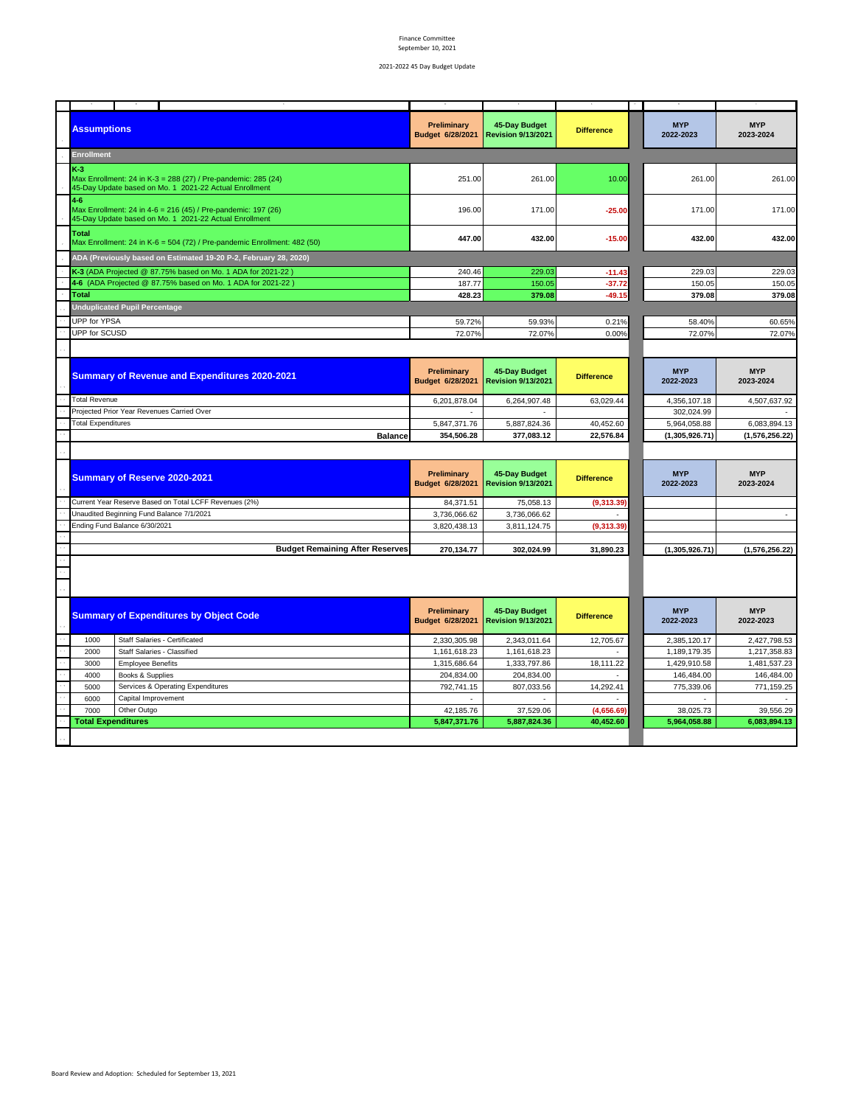| <b>Assumptions</b>        |                                                                                                                         | Preliminary<br>Budget 6/28/2021        | 45-Day Budget<br><b>Revision 9/13/2021</b> | <b>Difference</b> | <b>MYP</b><br>2022-2023 | <b>MYP</b><br>2023-2024     |
|---------------------------|-------------------------------------------------------------------------------------------------------------------------|----------------------------------------|--------------------------------------------|-------------------|-------------------------|-----------------------------|
| Enrollment                |                                                                                                                         |                                        |                                            |                   |                         |                             |
| $K-3$                     | Max Enrollment: 24 in K-3 = 288 (27) / Pre-pandemic: 285 (24)<br>45-Day Update based on Mo. 1 2021-22 Actual Enrollment | 251.00                                 | 261.00                                     | 10.00             | 261.00                  | 261.00                      |
| $4 - 6$                   | Max Enrollment: 24 in 4-6 = 216 (45) / Pre-pandemic: 197 (26)<br>45-Day Update based on Mo. 1 2021-22 Actual Enrollment | 196.00                                 | 171.00                                     | $-25.00$          | 171.00                  | 171.00                      |
| Total                     | Max Enrollment: 24 in K-6 = 504 (72) / Pre-pandemic Enrollment: 482 (50)                                                | 447.00                                 | 432.00                                     | $-15.00$          | 432.00                  | 432.00                      |
|                           | ADA (Previously based on Estimated 19-20 P-2, February 28, 2020)                                                        |                                        |                                            |                   |                         |                             |
|                           | K-3 (ADA Projected @ 87.75% based on Mo. 1 ADA for 2021-22)                                                             | 240.46                                 | 229.03                                     | $-11.43$          | 229.03                  | 229.03                      |
|                           | 4-6 (ADA Projected @ 87.75% based on Mo. 1 ADA for 2021-22)                                                             | 187.77                                 | 150.05                                     | $-37.72$          | 150.05                  | 150.05                      |
| Total                     |                                                                                                                         | 428.23                                 | 379.08                                     | $-49.15$          | 379.08                  | 379.08                      |
|                           | <b>Unduplicated Pupil Percentage</b>                                                                                    |                                        |                                            |                   |                         |                             |
| UPP for YPSA              |                                                                                                                         | 59.72%                                 | 59.93%                                     | 0.21%             | 58.40%                  | 60.65%                      |
| UPP for SCUSD             |                                                                                                                         | 72.07%                                 | 72.07%                                     | 0.00%             | 72.07%                  | 72.07%                      |
|                           |                                                                                                                         |                                        |                                            |                   |                         |                             |
|                           |                                                                                                                         |                                        |                                            |                   |                         |                             |
|                           | <b>Summary of Revenue and Expenditures 2020-2021</b>                                                                    | <b>Preliminary</b><br>Budget 6/28/2021 | 45-Day Budget<br><b>Revision 9/13/2021</b> | <b>Difference</b> | <b>MYP</b><br>2022-2023 | <b>MYP</b><br>2023-2024     |
| <b>Total Revenue</b>      |                                                                                                                         | 6,201,878.04                           | 6,264,907.48                               | 63,029.44         | 4,356,107.18            | 4,507,637.92                |
|                           | Projected Prior Year Revenues Carried Over                                                                              |                                        |                                            |                   | 302,024.99              |                             |
| <b>Total Expenditures</b> |                                                                                                                         | 5,847,371.76                           | 5,887,824.36                               | 40,452.60         | 5,964,058.88            | 6,083,894.13                |
|                           | <b>Balance</b>                                                                                                          | 354,506.28                             | 377,083.12                                 | 22,576.84         | (1,305,926.71)          | (1,576,256.22)              |
|                           |                                                                                                                         |                                        |                                            |                   |                         |                             |
|                           |                                                                                                                         |                                        |                                            |                   |                         |                             |
|                           | Summary of Reserve 2020-2021                                                                                            | Preliminary<br>Budget 6/28/2021        | 45-Day Budget<br><b>Revision 9/13/2021</b> | <b>Difference</b> | <b>MYP</b><br>2022-2023 | <b>MYP</b><br>2023-2024     |
|                           | Current Year Reserve Based on Total LCFF Revenues (2%)                                                                  | 84,371.51                              | 75,058.13                                  | (9,313.39)        |                         |                             |
|                           | Unaudited Beginning Fund Balance 7/1/2021                                                                               | 3,736,066.62                           | 3,736,066.62                               |                   |                         | $\mathcal{L}_{\mathcal{A}}$ |
|                           | Ending Fund Balance 6/30/2021                                                                                           | 3,820,438.13                           | 3,811,124.75                               | (9,313.39)        |                         |                             |
|                           |                                                                                                                         |                                        |                                            |                   |                         |                             |
|                           | <b>Budget Remaining After Reserves</b>                                                                                  | 270,134.77                             | 302,024.99                                 | 31,890.23         | (1,305,926.71)          | (1,576,256.22)              |
|                           |                                                                                                                         |                                        |                                            |                   |                         |                             |
|                           | <b>Summary of Expenditures by Object Code</b>                                                                           | Preliminary<br>Budget 6/28/2021        | 45-Day Budget<br><b>Revision 9/13/2021</b> | <b>Difference</b> | <b>MYP</b><br>2022-2023 | <b>MYP</b><br>2022-2023     |
| 1000                      | Staff Salaries - Certificated                                                                                           | 2,330,305.98                           | 2,343,011.64                               | 12,705.67         | 2,385,120.17            | 2,427,798.53                |
| 2000                      | Staff Salaries - Classified                                                                                             | 1,161,618.23                           | 1,161,618.23                               |                   | 1,189,179.35            | 1,217,358.83                |
| 3000                      | <b>Employee Benefits</b>                                                                                                | 1,315,686.64                           | 1,333,797.86                               | 18,111.22         | 1,429,910.58            | 1,481,537.23                |
| 4000                      | Books & Supplies                                                                                                        | 204,834.00                             | 204,834.00                                 |                   | 146,484.00              | 146,484.00                  |
| 5000                      | Services & Operating Expenditures                                                                                       | 792,741.15                             | 807,033.56                                 | 14,292.41         | 775,339.06              | 771,159.25                  |
| 6000                      | Capital Improvement                                                                                                     | $\sim$                                 | ٠                                          |                   |                         |                             |
| 7000                      | Other Outgo                                                                                                             | 42,185.76                              | 37,529.06                                  | (4,656.69)        | 38,025.73               | 39,556.29                   |
| <b>Total Expenditures</b> |                                                                                                                         | 5,847,371.76                           | 5,887,824.36                               | 40,452.60         | 5,964,058.88            | 6,083,894.13                |
|                           |                                                                                                                         |                                        |                                            |                   |                         |                             |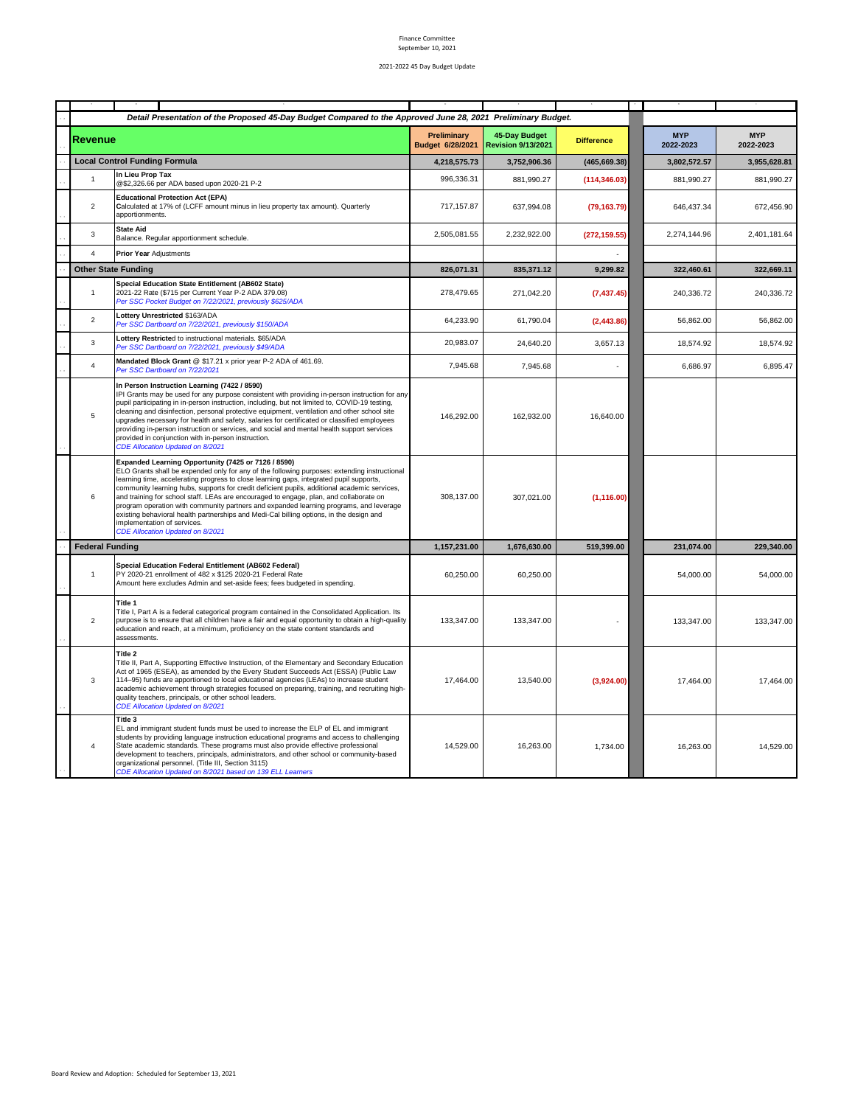|                         | Detail Presentation of the Proposed 45-Day Budget Compared to the Approved June 28, 2021 Preliminary Budget.                                                                                                                                                                                                                                                                                                                                                                                                                                                                                                                                                                                     |                                 |                                            |                   |                         |                         |
|-------------------------|--------------------------------------------------------------------------------------------------------------------------------------------------------------------------------------------------------------------------------------------------------------------------------------------------------------------------------------------------------------------------------------------------------------------------------------------------------------------------------------------------------------------------------------------------------------------------------------------------------------------------------------------------------------------------------------------------|---------------------------------|--------------------------------------------|-------------------|-------------------------|-------------------------|
| <b>Revenue</b>          |                                                                                                                                                                                                                                                                                                                                                                                                                                                                                                                                                                                                                                                                                                  | Preliminary<br>Budget 6/28/2021 | 45-Day Budget<br><b>Revision 9/13/2021</b> | <b>Difference</b> | <b>MYP</b><br>2022-2023 | <b>MYP</b><br>2022-2023 |
|                         | <b>Local Control Funding Formula</b>                                                                                                                                                                                                                                                                                                                                                                                                                                                                                                                                                                                                                                                             | 4,218,575.73                    | 3,752,906.36                               | (465, 669.38)     | 3,802,572.57            | 3.955.628.81            |
| $\overline{1}$          | In Lieu Prop Tax<br>@\$2,326.66 per ADA based upon 2020-21 P-2                                                                                                                                                                                                                                                                                                                                                                                                                                                                                                                                                                                                                                   | 996,336.31                      | 881,990.27                                 | (114, 346.03)     | 881,990.27              | 881,990.27              |
| $\overline{2}$          | <b>Educational Protection Act (EPA)</b><br>Calculated at 17% of (LCFF amount minus in lieu property tax amount). Quarterly<br>apportionments.                                                                                                                                                                                                                                                                                                                                                                                                                                                                                                                                                    | 717,157.87                      | 637,994.08                                 | (79, 163.79)      | 646,437.34              | 672,456.90              |
| 3                       | <b>State Aid</b><br>Balance. Regular apportionment schedule.                                                                                                                                                                                                                                                                                                                                                                                                                                                                                                                                                                                                                                     | 2,505,081.55                    | 2,232,922.00                               | (272, 159.55)     | 2,274,144.96            | 2,401,181.64            |
| $\overline{4}$          | Prior Year Adjustments                                                                                                                                                                                                                                                                                                                                                                                                                                                                                                                                                                                                                                                                           |                                 |                                            |                   |                         |                         |
|                         | <b>Other State Funding</b>                                                                                                                                                                                                                                                                                                                                                                                                                                                                                                                                                                                                                                                                       | 826,071.31                      | 835,371.12                                 | 9,299.82          | 322,460.61              | 322,669.11              |
| $\overline{1}$          | <b>Special Education State Entitlement (AB602 State)</b><br>2021-22 Rate (\$715 per Current Year P-2 ADA 379.08)<br>Per SSC Pocket Budget on 7/22/2021, previously \$625/ADA                                                                                                                                                                                                                                                                                                                                                                                                                                                                                                                     | 278,479.65                      | 271,042.20                                 | (7, 437.45)       | 240,336.72              | 240,336.72              |
| $\overline{2}$          | Lottery Unrestricted \$163/ADA<br>Per SSC Dartboard on 7/22/2021, previously \$150/ADA                                                                                                                                                                                                                                                                                                                                                                                                                                                                                                                                                                                                           | 64,233.90                       | 61,790.04                                  | (2, 443.86)       | 56,862.00               | 56,862.00               |
| 3                       | Lottery Restricted to instructional materials. \$65/ADA<br>Per SSC Dartboard on 7/22/2021, previously \$49/ADA                                                                                                                                                                                                                                                                                                                                                                                                                                                                                                                                                                                   | 20,983.07                       | 24,640.20                                  | 3,657.13          | 18,574.92               | 18,574.92               |
| $\overline{4}$          | Mandated Block Grant @ \$17.21 x prior year P-2 ADA of 461.69.<br>Per SSC Dartboard on 7/22/2021                                                                                                                                                                                                                                                                                                                                                                                                                                                                                                                                                                                                 | 7,945.68                        | 7,945.68                                   |                   | 6,686.97                | 6,895.47                |
| 5                       | In Person Instruction Learning (7422 / 8590)<br>IPI Grants may be used for any purpose consistent with providing in-person instruction for any<br>pupil participating in in-person instruction, including, but not limited to, COVID-19 testing,<br>cleaning and disinfection, personal protective equipment, ventilation and other school site<br>upgrades necessary for health and safety, salaries for certificated or classified employees<br>providing in-person instruction or services, and social and mental health support services<br>provided in conjunction with in-person instruction.<br><b>CDE Allocation Updated on 8/2021</b>                                                   | 146,292.00                      | 162,932.00                                 | 16,640.00         |                         |                         |
| 6                       | Expanded Learning Opportunity (7425 or 7126 / 8590)<br>ELO Grants shall be expended only for any of the following purposes: extending instructional<br>learning time, accelerating progress to close learning gaps, integrated pupil supports,<br>community learning hubs, supports for credit deficient pupils, additional academic services,<br>and training for school staff. LEAs are encouraged to engage, plan, and collaborate on<br>program operation with community partners and expanded learning programs, and leverage<br>existing behavioral health partnerships and Medi-Cal billing options, in the design and<br>implementation of services.<br>CDE Allocation Updated on 8/2021 | 308,137.00                      | 307,021.00                                 | (1, 116.00)       |                         |                         |
| <b>Federal Funding</b>  |                                                                                                                                                                                                                                                                                                                                                                                                                                                                                                                                                                                                                                                                                                  | 1,157,231.00                    | 1,676,630.00                               | 519.399.00        | 231,074.00              | 229,340.00              |
| $\mathbf{1}$            | Special Education Federal Entitlement (AB602 Federal)<br>PY 2020-21 enrollment of 482 x \$125 2020-21 Federal Rate<br>Amount here excludes Admin and set-aside fees; fees budgeted in spending.                                                                                                                                                                                                                                                                                                                                                                                                                                                                                                  | 60,250.00                       | 60,250.00                                  |                   | 54,000.00               | 54,000.00               |
| $\overline{2}$          | Title 1<br>Title I, Part A is a federal categorical program contained in the Consolidated Application. Its<br>purpose is to ensure that all children have a fair and equal opportunity to obtain a high-quality<br>education and reach, at a minimum, proficiency on the state content standards and<br>assessments.                                                                                                                                                                                                                                                                                                                                                                             | 133,347.00                      | 133,347.00                                 |                   | 133,347.00              | 133,347.00              |
| 3                       | Title 2<br>Title II, Part A, Supporting Effective Instruction, of the Elementary and Secondary Education<br>Act of 1965 (ESEA), as amended by the Every Student Succeeds Act (ESSA) (Public Law<br>114-95) funds are apportioned to local educational agencies (LEAs) to increase student<br>academic achievement through strategies focused on preparing, training, and recruiting high-<br>quality teachers, principals, or other school leaders.<br>CDE Allocation Updated on 8/2021                                                                                                                                                                                                          | 17,464.00                       | 13,540.00                                  | (3,924.00)        | 17,464.00               | 17,464.00               |
| $\overline{\mathbf{4}}$ | Title 3<br>EL and immigrant student funds must be used to increase the ELP of EL and immigrant<br>students by providing language instruction educational programs and access to challenging<br>State academic standards. These programs must also provide effective professional<br>development to teachers, principals, administrators, and other school or community-based<br>organizational personnel. (Title III, Section 3115)<br>CDE Allocation Updated on 8/2021 based on 139 ELL Learners                                                                                                                                                                                                | 14,529.00                       | 16,263.00                                  | 1,734.00          | 16.263.00               | 14,529.00               |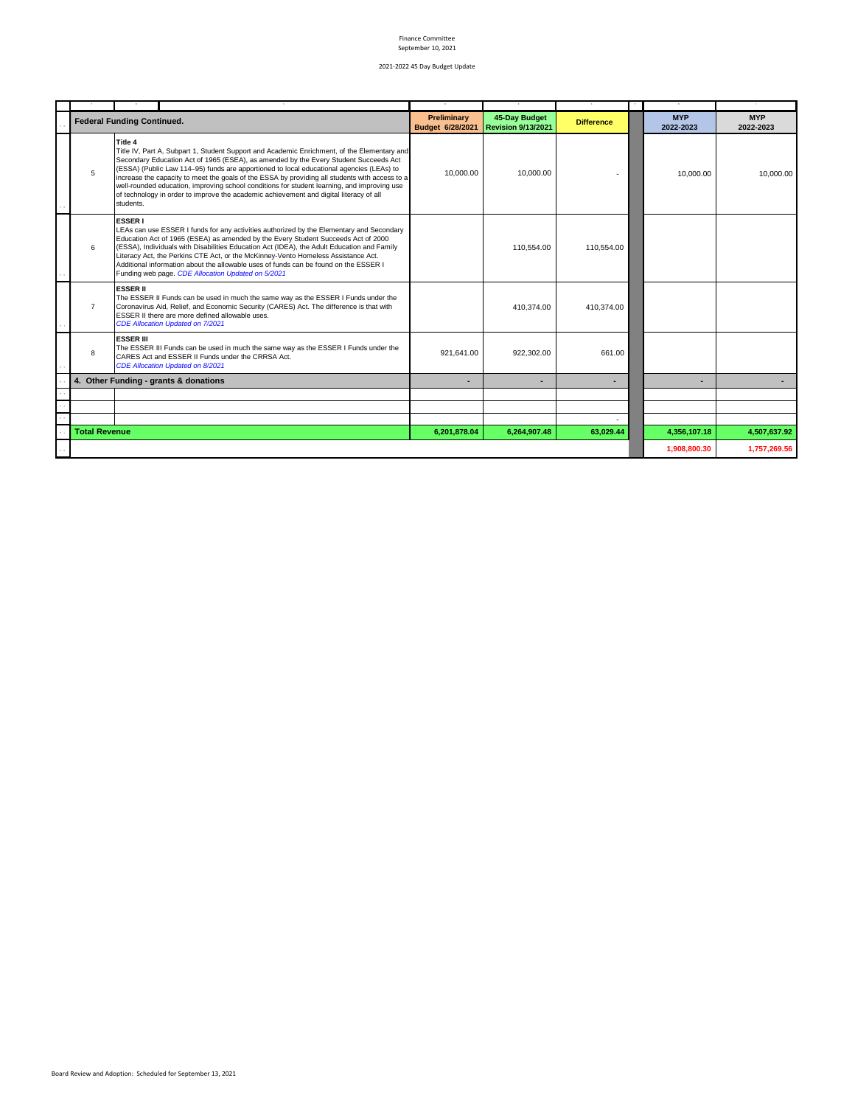|                      | <b>Federal Funding Continued.</b>                                                                                                                                                                                                                                                                                                                                                                                                                                                                                                                                                                  | Preliminary<br>Budget 6/28/2021 | 45-Day Budget<br><b>Revision 9/13/2021</b> | <b>Difference</b>        | <b>MYP</b><br>2022-2023 | <b>MYP</b><br>2022-2023 |
|----------------------|----------------------------------------------------------------------------------------------------------------------------------------------------------------------------------------------------------------------------------------------------------------------------------------------------------------------------------------------------------------------------------------------------------------------------------------------------------------------------------------------------------------------------------------------------------------------------------------------------|---------------------------------|--------------------------------------------|--------------------------|-------------------------|-------------------------|
| 5                    | Title 4<br>Title IV, Part A, Subpart 1, Student Support and Academic Enrichment, of the Elementary and<br>Secondary Education Act of 1965 (ESEA), as amended by the Every Student Succeeds Act<br>(ESSA) (Public Law 114-95) funds are apportioned to local educational agencies (LEAs) to<br>increase the capacity to meet the goals of the ESSA by providing all students with access to a<br>well-rounded education, improving school conditions for student learning, and improving use<br>of technology in order to improve the academic achievement and digital literacy of all<br>students. | 10.000.00                       | 10.000.00                                  |                          | 10,000.00               | 10,000.00               |
| 6                    | <b>ESSER I</b><br>LEAs can use ESSER I funds for any activities authorized by the Elementary and Secondary<br>Education Act of 1965 (ESEA) as amended by the Every Student Succeeds Act of 2000<br>(ESSA), Individuals with Disabilities Education Act (IDEA), the Adult Education and Family<br>Literacy Act, the Perkins CTE Act, or the McKinney-Vento Homeless Assistance Act.<br>Additional information about the allowable uses of funds can be found on the ESSER I<br>Funding web page. CDE Allocation Updated on 5/2021                                                                   |                                 | 110.554.00                                 | 110.554.00               |                         |                         |
| $\overline{7}$       | <b>ESSER II</b><br>The ESSER II Funds can be used in much the same way as the ESSER I Funds under the<br>Coronavirus Aid, Relief, and Economic Security (CARES) Act. The difference is that with<br>ESSER II there are more defined allowable uses.<br><b>CDE Allocation Updated on 7/2021</b>                                                                                                                                                                                                                                                                                                     |                                 | 410.374.00                                 | 410.374.00               |                         |                         |
| 8                    | <b>ESSER III</b><br>The ESSER III Funds can be used in much the same way as the ESSER I Funds under the<br>CARES Act and ESSER II Funds under the CRRSA Act.<br><b>CDE Allocation Updated on 8/2021</b>                                                                                                                                                                                                                                                                                                                                                                                            | 921,641.00                      | 922.302.00                                 | 661.00                   |                         |                         |
|                      | 4. Other Funding - grants & donations                                                                                                                                                                                                                                                                                                                                                                                                                                                                                                                                                              |                                 |                                            | $\overline{\phantom{a}}$ |                         |                         |
|                      |                                                                                                                                                                                                                                                                                                                                                                                                                                                                                                                                                                                                    |                                 |                                            |                          |                         |                         |
|                      |                                                                                                                                                                                                                                                                                                                                                                                                                                                                                                                                                                                                    |                                 |                                            |                          |                         |                         |
| <b>Total Revenue</b> |                                                                                                                                                                                                                                                                                                                                                                                                                                                                                                                                                                                                    | 6,201,878.04                    | 6,264,907.48                               | 63,029.44                | 4,356,107.18            | 4,507,637.92            |
|                      |                                                                                                                                                                                                                                                                                                                                                                                                                                                                                                                                                                                                    |                                 |                                            |                          | 1,908,800.30            | 1,757,269.56            |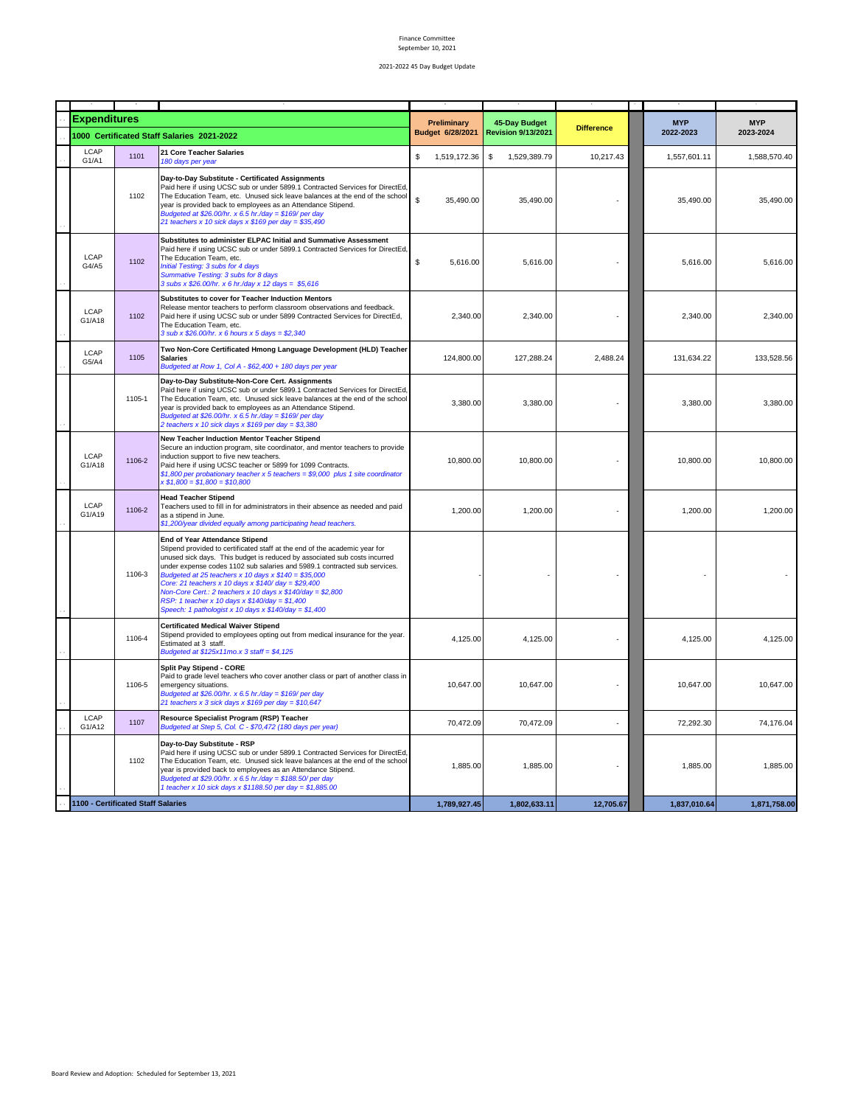| <b>Expenditures</b> |                                    |                                                                                                                                                                                                                                                                                                                                                                                                                                                                                                                                                                            | Preliminary<br>Budget 6/28/2021 | 45-Day Budget<br><b>Revision 9/13/2021</b> | <b>Difference</b> | <b>MYP</b><br>2022-2023 | <b>MYP</b><br>2023-2024 |
|---------------------|------------------------------------|----------------------------------------------------------------------------------------------------------------------------------------------------------------------------------------------------------------------------------------------------------------------------------------------------------------------------------------------------------------------------------------------------------------------------------------------------------------------------------------------------------------------------------------------------------------------------|---------------------------------|--------------------------------------------|-------------------|-------------------------|-------------------------|
|                     |                                    | 1000 Certificated Staff Salaries 2021-2022                                                                                                                                                                                                                                                                                                                                                                                                                                                                                                                                 |                                 |                                            |                   |                         |                         |
| LCAP<br>G1/A1       | 1101                               | 21 Core Teacher Salaries<br>180 days per year                                                                                                                                                                                                                                                                                                                                                                                                                                                                                                                              | \$<br>1,519,172.36              | \$<br>1,529,389.79                         | 10,217.43         | 1,557,601.11            | 1,588,570.40            |
|                     | 1102                               | Day-to-Day Substitute - Certificated Assignments<br>Paid here if using UCSC sub or under 5899.1 Contracted Services for DirectEd.<br>The Education Team, etc. Unused sick leave balances at the end of the school<br>year is provided back to employees as an Attendance Stipend.<br>Budgeted at \$26.00/hr. x 6.5 hr./day = \$169/ per day<br>21 teachers x 10 sick days x $$169$ per day = $$35,490$                                                                                                                                                                     | \$<br>35,490.00                 | 35,490.00                                  |                   | 35,490.00               | 35,490.00               |
| LCAP<br>G4/A5       | 1102                               | Substitutes to administer ELPAC Initial and Summative Assessment<br>Paid here if using UCSC sub or under 5899.1 Contracted Services for DirectEd,<br>The Education Team, etc.<br>Initial Testing: 3 subs for 4 days<br>Summative Testing: 3 subs for 8 days<br>3 subs x \$26.00/hr. x 6 hr./day x 12 days = \$5,616                                                                                                                                                                                                                                                        | \$<br>5,616.00                  | 5,616.00                                   |                   | 5,616.00                | 5,616.00                |
| LCAP<br>G1/A18      | 1102                               | Substitutes to cover for Teacher Induction Mentors<br>Release mentor teachers to perform classroom observations and feedback.<br>Paid here if using UCSC sub or under 5899 Contracted Services for DirectEd,<br>The Education Team, etc.<br>3 sub x $$26.00/hr. x 6 hours x 5 days = $2,340$                                                                                                                                                                                                                                                                               | 2,340.00                        | 2,340.00                                   |                   | 2,340.00                | 2,340.00                |
| LCAP<br>G5/A4       | 1105                               | Two Non-Core Certificated Hmong Language Development (HLD) Teacher<br><b>Salaries</b><br>Budgeted at Row 1, Col A - \$62,400 + 180 days per year                                                                                                                                                                                                                                                                                                                                                                                                                           | 124,800.00                      | 127,288.24                                 | 2,488.24          | 131,634.22              | 133,528.56              |
|                     | 1105-1                             | Day-to-Day Substitute-Non-Core Cert. Assignments<br>Paid here if using UCSC sub or under 5899.1 Contracted Services for DirectEd,<br>The Education Team, etc. Unused sick leave balances at the end of the school<br>year is provided back to employees as an Attendance Stipend.<br>Budgeted at \$26.00/hr. x 6.5 hr./day = \$169/ per day<br>2 teachers x 10 sick days x \$169 per day = \$3,380                                                                                                                                                                         | 3,380.00                        | 3,380.00                                   |                   | 3,380.00                | 3,380.00                |
| LCAP<br>G1/A18      | 1106-2                             | New Teacher Induction Mentor Teacher Stipend<br>Secure an induction program, site coordinator, and mentor teachers to provide<br>induction support to five new teachers.<br>Paid here if using UCSC teacher or 5899 for 1099 Contracts.<br>\$1,800 per probationary teacher x 5 teachers = \$9,000 plus 1 site coordinator<br>$x $1,800 = $1,800 = $10,800$                                                                                                                                                                                                                | 10,800.00                       | 10,800.00                                  |                   | 10,800.00               | 10,800.00               |
| LCAP<br>G1/A19      | 1106-2                             | <b>Head Teacher Stipend</b><br>Teachers used to fill in for administrators in their absence as needed and paid<br>as a stipend in June.<br>\$1,200/year divided equally among participating head teachers.                                                                                                                                                                                                                                                                                                                                                                 | 1,200.00                        | 1,200.00                                   |                   | 1,200.00                | 1,200.00                |
|                     | 1106-3                             | <b>End of Year Attendance Stipend</b><br>Stipend provided to certificated staff at the end of the academic year for<br>unused sick days. This budget is reduced by associated sub costs incurred<br>under expense codes 1102 sub salaries and 5989.1 contracted sub services.<br>Budgeted at 25 teachers x 10 days x $$140 = $35,000$<br>Core: 21 teachers x 10 days x \$140/ day = \$29,400<br>Non-Core Cert.: 2 teachers x 10 days x \$140/day = \$2,800<br>RSP: 1 teacher x 10 days x $$140$ /day = \$1,400<br>Speech: 1 pathologist x 10 days x $$140$ /day = $$1,400$ |                                 |                                            |                   |                         |                         |
|                     | 1106-4                             | <b>Certificated Medical Waiver Stipend</b><br>Stipend provided to employees opting out from medical insurance for the year.<br>Estimated at 3 staff.<br>Budgeted at $$125x11mo.x 3 staff = $4,125$                                                                                                                                                                                                                                                                                                                                                                         | 4,125.00                        | 4,125.00                                   |                   | 4,125.00                | 4,125.00                |
|                     | 1106-5                             | Split Pay Stipend - CORE<br>Paid to grade level teachers who cover another class or part of another class in<br>emergency situations.<br>Budgeted at \$26.00/hr. x 6.5 hr./day = \$169/ per day<br>21 teachers x 3 sick days x \$169 per day = \$10,647                                                                                                                                                                                                                                                                                                                    | 10,647.00                       | 10,647.00                                  |                   | 10,647.00               | 10,647.00               |
| LCAP<br>G1/A12      | 1107                               | Resource Specialist Program (RSP) Teacher<br>Budgeted at Step 5, Col. C - \$70,472 (180 days per year)                                                                                                                                                                                                                                                                                                                                                                                                                                                                     | 70,472.09                       | 70,472.09                                  |                   | 72,292.30               | 74,176.04               |
|                     | 1102                               | Day-to-Day Substitute - RSP<br>Paid here if using UCSC sub or under 5899.1 Contracted Services for DirectEd,<br>The Education Team, etc. Unused sick leave balances at the end of the school<br>year is provided back to employees as an Attendance Stipend.<br>Budgeted at \$29.00/hr. x 6.5 hr./day = \$188.50/ per day<br>1 teacher x 10 sick days x \$1188.50 per day = \$1,885.00                                                                                                                                                                                     | 1,885.00                        | 1,885.00                                   |                   | 1,885.00                | 1,885.00                |
|                     | 1100 - Certificated Staff Salaries |                                                                                                                                                                                                                                                                                                                                                                                                                                                                                                                                                                            | 1,789,927.45                    | 1,802,633.11                               | 12.705.67         | 1,837,010.64            | 1,871,758.00            |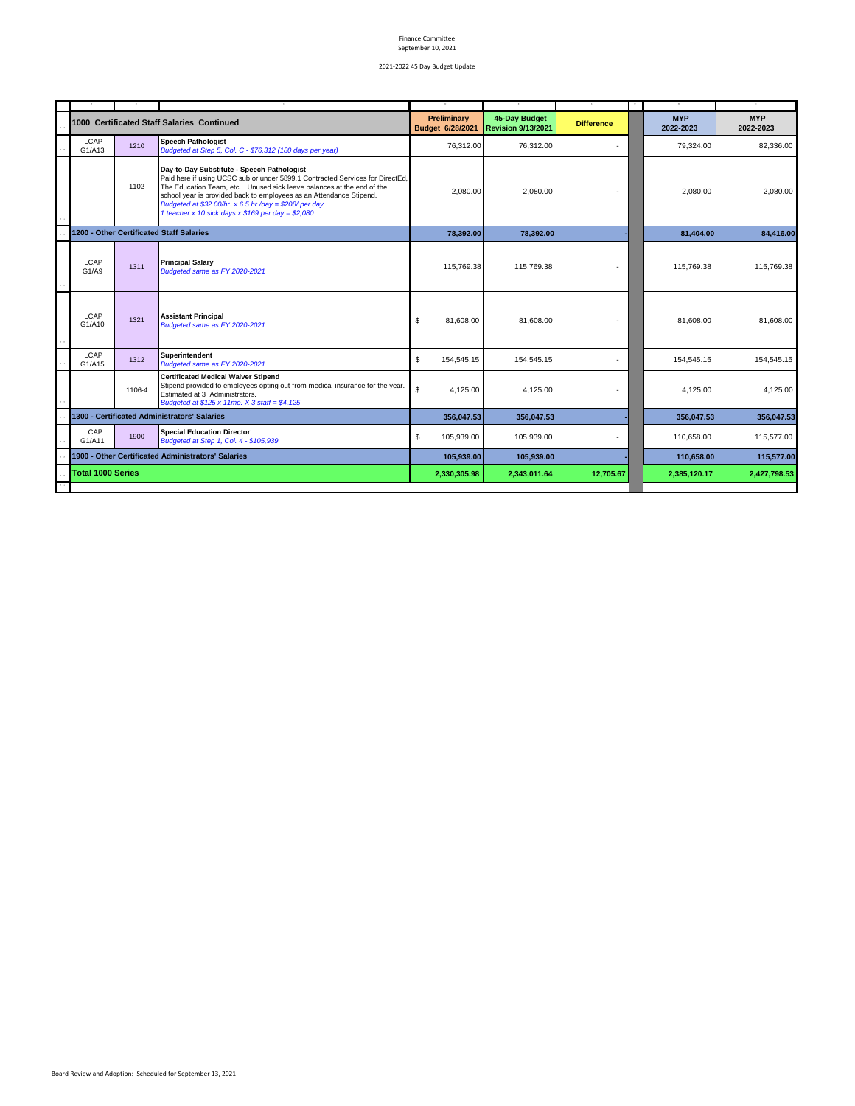|                                                    |        | 1000 Certificated Staff Salaries Continued                                                                                                                                                                                                                                                                                                                                                    | <b>Preliminary</b><br>Budget 6/28/2021 | 45-Day Budget<br><b>Revision 9/13/2021</b> | <b>Difference</b> | <b>MYP</b><br>2022-2023 | <b>MYP</b><br>2022-2023 |
|----------------------------------------------------|--------|-----------------------------------------------------------------------------------------------------------------------------------------------------------------------------------------------------------------------------------------------------------------------------------------------------------------------------------------------------------------------------------------------|----------------------------------------|--------------------------------------------|-------------------|-------------------------|-------------------------|
| LCAP<br>G1/A13                                     | 1210   | <b>Speech Pathologist</b><br>Budgeted at Step 5, Col. C - \$76,312 (180 days per year)                                                                                                                                                                                                                                                                                                        | 76,312.00                              | 76,312.00                                  |                   | 79,324.00               | 82,336.00               |
|                                                    | 1102   | Day-to-Day Substitute - Speech Pathologist<br>Paid here if using UCSC sub or under 5899.1 Contracted Services for DirectEd,<br>The Education Team, etc. Unused sick leave balances at the end of the<br>school year is provided back to employees as an Attendance Stipend.<br>Budgeted at \$32.00/hr. x 6.5 hr./day = \$208/ per day<br>1 teacher x 10 sick days x $$169$ per day = $$2,080$ | 2,080.00                               | 2,080.00                                   |                   | 2,080.00                | 2,080.00                |
|                                                    |        | 1200 - Other Certificated Staff Salaries                                                                                                                                                                                                                                                                                                                                                      | 78,392.00                              | 78,392.00                                  |                   | 81,404.00               | 84,416.00               |
| LCAP<br>G1/A9                                      | 1311   | <b>Principal Salary</b><br>Budgeted same as FY 2020-2021                                                                                                                                                                                                                                                                                                                                      | 115,769.38                             | 115,769.38                                 |                   | 115,769.38              | 115,769.38              |
| LCAP<br>G1/A10                                     | 1321   | <b>Assistant Principal</b><br>Budgeted same as FY 2020-2021                                                                                                                                                                                                                                                                                                                                   | \$<br>81,608.00                        | 81.608.00                                  |                   | 81,608.00               | 81,608.00               |
| LCAP<br>G1/A15                                     | 1312   | Superintendent<br>Budgeted same as FY 2020-2021                                                                                                                                                                                                                                                                                                                                               | \$<br>154,545.15                       | 154,545.15                                 |                   | 154,545.15              | 154,545.15              |
|                                                    | 1106-4 | <b>Certificated Medical Waiver Stipend</b><br>Stipend provided to employees opting out from medical insurance for the year.<br>Estimated at 3 Administrators.<br>Budgeted at $$125 x 11mo. X 3 staff = $4,125$                                                                                                                                                                                | \$<br>4,125.00                         | 4,125.00                                   |                   | 4.125.00                | 4,125.00                |
|                                                    |        | 1300 - Certificated Administrators' Salaries                                                                                                                                                                                                                                                                                                                                                  | 356,047.53                             | 356.047.53                                 |                   | 356.047.53              | 356,047.53              |
| LCAP<br>G1/A11                                     | 1900   | <b>Special Education Director</b><br>Budgeted at Step 1, Col. 4 - \$105,939                                                                                                                                                                                                                                                                                                                   | \$<br>105,939.00                       | 105.939.00                                 |                   | 110.658.00              | 115,577.00              |
| 1900 - Other Certificated Administrators' Salaries |        | 105,939.00                                                                                                                                                                                                                                                                                                                                                                                    | 105,939.00                             |                                            | 110,658.00        | 115,577.00              |                         |
| <b>Total 1000 Series</b>                           |        | 2,330,305.98                                                                                                                                                                                                                                                                                                                                                                                  | 2,343,011.64                           | 12,705.67                                  | 2,385,120.17      | 2,427,798.53            |                         |
|                                                    |        |                                                                                                                                                                                                                                                                                                                                                                                               |                                        |                                            |                   |                         |                         |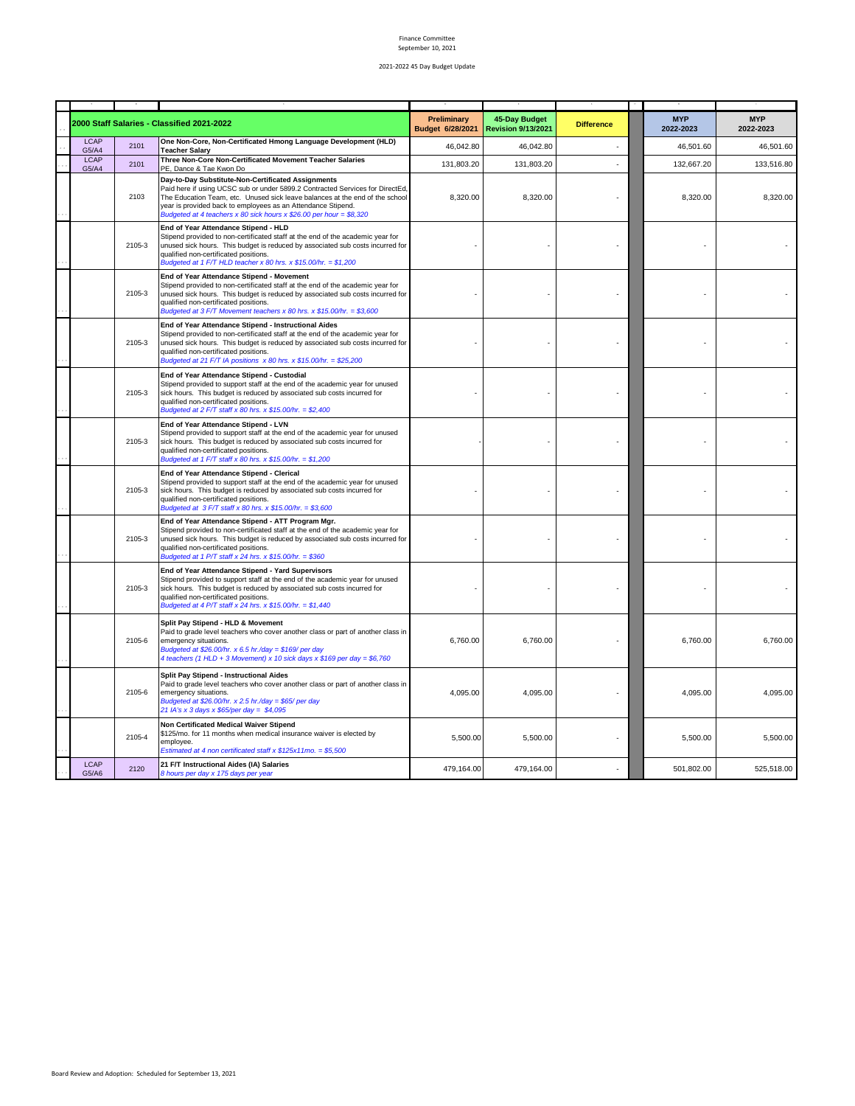|                      |        | 2000 Staff Salaries - Classified 2021-2022                                                                                                                                                                                                                                                                                                                 | Preliminary<br>Budget 6/28/2021 | 45-Day Budget<br><b>Revision 9/13/2021</b> | <b>Difference</b> | <b>MYP</b><br>2022-2023 | <b>MYP</b><br>2022-2023 |
|----------------------|--------|------------------------------------------------------------------------------------------------------------------------------------------------------------------------------------------------------------------------------------------------------------------------------------------------------------------------------------------------------------|---------------------------------|--------------------------------------------|-------------------|-------------------------|-------------------------|
| <b>LCAP</b><br>G5/A4 | 2101   | One Non-Core, Non-Certificated Hmong Language Development (HLD)<br><b>Teacher Salary</b>                                                                                                                                                                                                                                                                   | 46.042.80                       | 46.042.80                                  |                   | 46,501.60               | 46.501.60               |
| <b>LCAP</b><br>G5/A4 | 2101   | Three Non-Core Non-Certificated Movement Teacher Salaries<br>PE, Dance & Tae Kwon Do                                                                                                                                                                                                                                                                       | 131,803.20                      | 131,803.20                                 |                   | 132,667.20              | 133,516.80              |
|                      | 2103   | Day-to-Day Substitute-Non-Certificated Assignments<br>Paid here if using UCSC sub or under 5899.2 Contracted Services for DirectEd,<br>The Education Team, etc. Unused sick leave balances at the end of the school<br>year is provided back to employees as an Attendance Stipend.<br>Budgeted at 4 teachers x 80 sick hours x \$26.00 per hour = \$8,320 | 8,320.00                        | 8,320.00                                   |                   | 8,320.00                | 8,320.00                |
|                      | 2105-3 | End of Year Attendance Stipend - HLD<br>Stipend provided to non-certificated staff at the end of the academic year for<br>unused sick hours. This budget is reduced by associated sub costs incurred for<br>qualified non-certificated positions.<br>Budgeted at 1 F/T HLD teacher x 80 hrs. x \$15.00/hr. = \$1,200                                       |                                 |                                            |                   |                         |                         |
|                      | 2105-3 | End of Year Attendance Stipend - Movement<br>Stipend provided to non-certificated staff at the end of the academic year for<br>unused sick hours. This budget is reduced by associated sub costs incurred for<br>qualified non-certificated positions.<br>Budgeted at 3 F/T Movement teachers x 80 hrs. x \$15.00/hr. = \$3,600                            |                                 |                                            |                   |                         |                         |
|                      | 2105-3 | End of Year Attendance Stipend - Instructional Aides<br>Stipend provided to non-certificated staff at the end of the academic year for<br>unused sick hours. This budget is reduced by associated sub costs incurred for<br>qualified non-certificated positions.<br>Budgeted at 21 F/T IA positions x 80 hrs. x \$15.00/hr. = \$25,200                    |                                 |                                            |                   |                         |                         |
|                      | 2105-3 | End of Year Attendance Stipend - Custodial<br>Stipend provided to support staff at the end of the academic year for unused<br>sick hours. This budget is reduced by associated sub costs incurred for<br>qualified non-certificated positions.<br>Budgeted at 2 F/T staff x 80 hrs. x \$15.00/hr. = \$2,400                                                |                                 |                                            |                   |                         |                         |
|                      | 2105-3 | End of Year Attendance Stipend - LVN<br>Stipend provided to support staff at the end of the academic year for unused<br>sick hours. This budget is reduced by associated sub costs incurred for<br>qualified non-certificated positions.<br>Budgeted at 1 F/T staff x 80 hrs. x \$15.00/hr. = \$1,200                                                      |                                 |                                            |                   |                         |                         |
|                      | 2105-3 | End of Year Attendance Stipend - Clerical<br>Stipend provided to support staff at the end of the academic year for unused<br>sick hours. This budget is reduced by associated sub costs incurred for<br>qualified non-certificated positions.<br>Budgeted at $3 F/T$ staff x 80 hrs. x \$15.00/hr. = \$3,600                                               |                                 |                                            |                   |                         |                         |
|                      | 2105-3 | End of Year Attendance Stipend - ATT Program Mgr.<br>Stipend provided to non-certificated staff at the end of the academic year for<br>unused sick hours. This budget is reduced by associated sub costs incurred for<br>qualified non-certificated positions.<br>Budgeted at 1 P/T staff x 24 hrs. x $$15.00/hr. = $360$                                  |                                 |                                            |                   |                         |                         |
|                      | 2105-3 | End of Year Attendance Stipend - Yard Supervisors<br>Stipend provided to support staff at the end of the academic year for unused<br>sick hours. This budget is reduced by associated sub costs incurred for<br>qualified non-certificated positions.<br>Budgeted at 4 P/T staff x 24 hrs. x \$15.00/hr. = \$1,440                                         |                                 |                                            |                   |                         |                         |
|                      | 2105-6 | Split Pay Stipend - HLD & Movement<br>Paid to grade level teachers who cover another class or part of another class in<br>emergency situations.<br>Budgeted at \$26.00/hr. x 6.5 hr./day = \$169/ per day<br>4 teachers (1 HLD + 3 Movement) x 10 sick days x \$169 per day = \$6,760                                                                      | 6,760.00                        | 6,760.00                                   |                   | 6,760.00                | 6,760.00                |
|                      | 2105-6 | Split Pay Stipend - Instructional Aides<br>Paid to grade level teachers who cover another class or part of another class in<br>emergency situations.<br>Budgeted at \$26.00/hr. x 2.5 hr./day = \$65/ per day<br>21 IA's x 3 days x \$65/per day = \$4,095                                                                                                 | 4,095.00                        | 4,095.00                                   |                   | 4,095.00                | 4,095.00                |
|                      | 2105-4 | Non Certificated Medical Waiver Stipend<br>\$125/mo. for 11 months when medical insurance waiver is elected by<br>employee.<br>Estimated at 4 non certificated staff x $$125x11mo. = $5,500$                                                                                                                                                               | 5,500.00                        | 5,500.00                                   |                   | 5,500.00                | 5,500.00                |
| <b>LCAP</b><br>G5/A6 | 2120   | 21 F/T Instructional Aides (IA) Salaries<br>8 hours per day x 175 days per year                                                                                                                                                                                                                                                                            | 479,164.00                      | 479,164.00                                 |                   | 501,802.00              | 525,518.00              |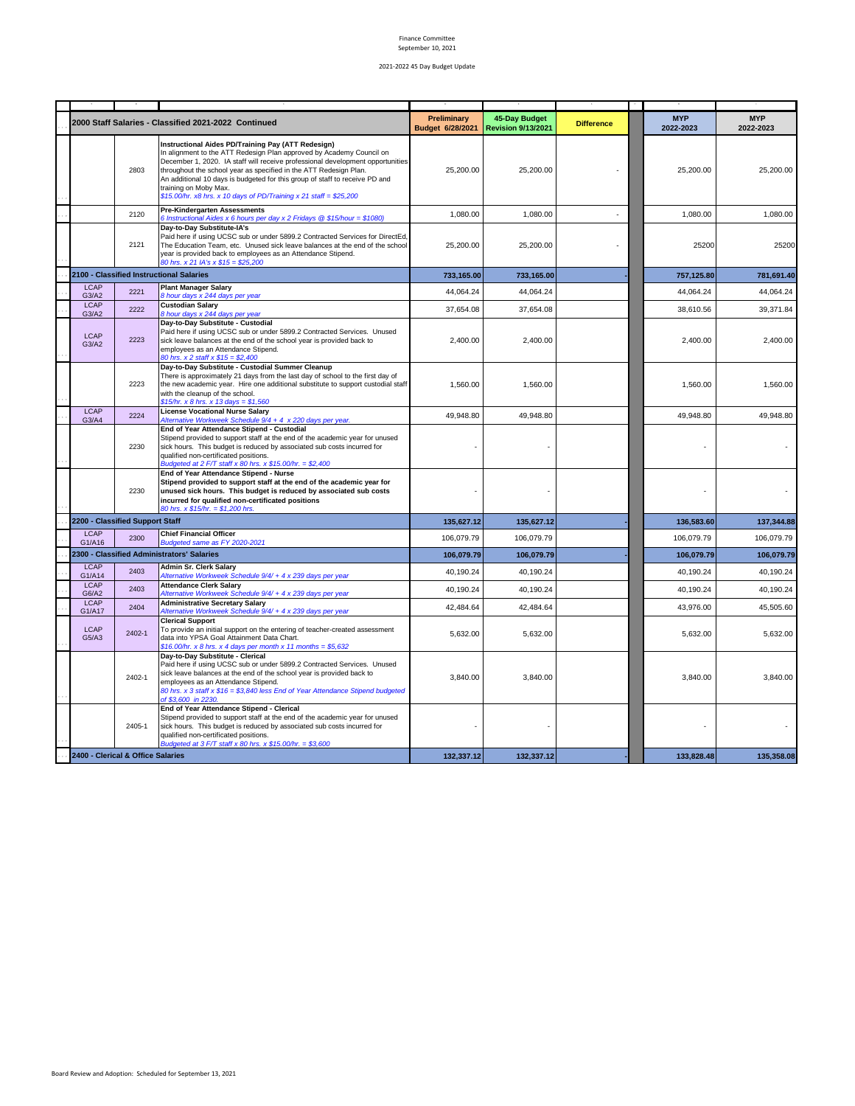|                       |                                   | 2000 Staff Salaries - Classified 2021-2022 Continued                                                                                                                                                                                                                                                                                                                                                                                                            | Preliminary<br>Budget 6/28/2021 | <b>45-Day Budget</b><br><b>Revision 9/13/2021</b> | <b>Difference</b> | <b>MYP</b><br>2022-2023 | <b>MYP</b><br>2022-2023 |
|-----------------------|-----------------------------------|-----------------------------------------------------------------------------------------------------------------------------------------------------------------------------------------------------------------------------------------------------------------------------------------------------------------------------------------------------------------------------------------------------------------------------------------------------------------|---------------------------------|---------------------------------------------------|-------------------|-------------------------|-------------------------|
|                       | 2803                              | Instructional Aides PD/Training Pay (ATT Redesign)<br>In alignment to the ATT Redesign Plan approved by Academy Council on<br>December 1, 2020. IA staff will receive professional development opportunities<br>throughout the school year as specified in the ATT Redesign Plan.<br>An additional 10 days is budgeted for this group of staff to receive PD and<br>training on Moby Max.<br>\$15.00/hr. x8 hrs. x 10 days of PD/Training x 21 staff = \$25,200 | 25,200.00                       | 25,200.00                                         |                   | 25,200.00               | 25,200.00               |
|                       | 2120                              | <b>Pre-Kindergarten Assessments</b><br>6 Instructional Aides x 6 hours per day x 2 Fridays $@$15/hour = $1080$                                                                                                                                                                                                                                                                                                                                                  | 1,080.00                        | 1,080.00                                          |                   | 1,080.00                | 1,080.00                |
|                       | 2121                              | Day-to-Day Substitute-IA's<br>Paid here if using UCSC sub or under 5899.2 Contracted Services for DirectEd,<br>The Education Team, etc. Unused sick leave balances at the end of the school<br>year is provided back to employees as an Attendance Stipend.<br>80 hrs. x 21 IA's x \$15 = \$25,200                                                                                                                                                              | 25,200.00                       | 25,200.00                                         |                   | 25200                   | 25200                   |
|                       |                                   | 2100 - Classified Instructional Salaries                                                                                                                                                                                                                                                                                                                                                                                                                        | 733,165.00                      | 733,165.00                                        |                   | 757,125.80              | 781,691.40              |
| LCAP<br>G3/A2         | 2221                              | <b>Plant Manager Salary</b><br>hour days x 244 days per year                                                                                                                                                                                                                                                                                                                                                                                                    | 44,064.24                       | 44.064.24                                         |                   | 44,064.24               | 44,064.24               |
| LCAP<br>G3/A2         | 2222                              | <b>Custodian Salary</b><br>8 hour days x 244 days per year                                                                                                                                                                                                                                                                                                                                                                                                      | 37,654.08                       | 37.654.08                                         |                   | 38,610.56               | 39,371.84               |
| <b>LCAP</b><br>G3/A2  | 2223                              | Day-to-Day Substitute - Custodial<br>Paid here if using UCSC sub or under 5899.2 Contracted Services. Unused<br>sick leave balances at the end of the school year is provided back to<br>employees as an Attendance Stipend.<br>80 hrs. x 2 staff x \$15 = \$2,400                                                                                                                                                                                              | 2,400.00                        | 2,400.00                                          |                   | 2,400.00                | 2,400.00                |
|                       | 2223                              | Day-to-Day Substitute - Custodial Summer Cleanup<br>There is approximately 21 days from the last day of school to the first day of<br>the new academic year. Hire one additional substitute to support custodial staff<br>with the cleanup of the school.<br>\$15/hr. x 8 hrs. x 13 days = \$1,560                                                                                                                                                              | 1,560.00                        | 1,560.00                                          |                   | 1,560.00                | 1,560.00                |
| <b>LCAP</b><br>G3/A4  | 2224                              | <b>License Vocational Nurse Salary</b><br>Alternative Workweek Schedule 9/4 + 4 x 220 days per year.                                                                                                                                                                                                                                                                                                                                                            | 49,948.80                       | 49,948.80                                         |                   | 49,948.80               | 49,948.80               |
|                       | 2230                              | End of Year Attendance Stipend - Custodial<br>Stipend provided to support staff at the end of the academic year for unused<br>sick hours. This budget is reduced by associated sub costs incurred for<br>qualified non-certificated positions.<br>Budgeted at 2 F/T staff x 80 hrs. x \$15.00/hr. = \$2,400                                                                                                                                                     |                                 |                                                   |                   |                         |                         |
|                       | 2230                              | End of Year Attendance Stipend - Nurse<br>Stipend provided to support staff at the end of the academic year for<br>unused sick hours. This budget is reduced by associated sub costs<br>incurred for qualified non-certificated positions<br>80 hrs. x \$15/hr. = \$1,200 hrs.                                                                                                                                                                                  |                                 |                                                   |                   |                         |                         |
|                       | 2200 - Classified Support Staff   |                                                                                                                                                                                                                                                                                                                                                                                                                                                                 | 135,627.12                      | 135,627.12                                        |                   | 136,583.60              | 137,344.88              |
| <b>LCAP</b><br>G1/A16 | 2300                              | <b>Chief Financial Officer</b><br>Budgeted same as FY 2020-2021                                                                                                                                                                                                                                                                                                                                                                                                 | 106.079.79                      | 106.079.79                                        |                   | 106,079.79              | 106,079.79              |
|                       |                                   | 2300 - Classified Administrators' Salaries                                                                                                                                                                                                                                                                                                                                                                                                                      | 106,079.79                      | 106,079.79                                        |                   | 106,079.79              | 106,079.79              |
| <b>LCAP</b><br>G1/A14 | 2403                              | Admin Sr. Clerk Salary<br>Alternative Workweek Schedule 9/4/ + 4 x 239 days per year                                                                                                                                                                                                                                                                                                                                                                            | 40,190.24                       | 40,190.24                                         |                   | 40,190.24               | 40,190.24               |
| <b>LCAP</b><br>G6/A2  | 2403                              | <b>Attendance Clerk Salary</b><br>Alternative Workweek Schedule 9/4/ + 4 x 239 days per year                                                                                                                                                                                                                                                                                                                                                                    | 40,190.24                       | 40,190.24                                         |                   | 40,190.24               | 40,190.24               |
| <b>LCAP</b><br>G1/A17 | 2404                              | <b>Administrative Secretary Salary</b><br>Alternative Workweek Schedule 9/4/ + 4 x 239 days per year                                                                                                                                                                                                                                                                                                                                                            | 42,484.64                       | 42,484.64                                         |                   | 43,976.00               | 45,505.60               |
| <b>LCAP</b><br>G5/A3  | 2402-1                            | <b>Clerical Support</b><br>To provide an initial support on the entering of teacher-created assessment<br>data into YPSA Goal Attainment Data Chart.<br>\$16.00/hr. x 8 hrs. x 4 days per month x 11 months = \$5,632                                                                                                                                                                                                                                           | 5,632.00                        | 5,632.00                                          |                   | 5,632.00                | 5,632.00                |
|                       | 2402-1                            | Day-to-Day Substitute - Clerical<br>Paid here if using UCSC sub or under 5899.2 Contracted Services. Unused<br>sick leave balances at the end of the school year is provided back to<br>employees as an Attendance Stipend.<br>80 hrs. x 3 staff x \$16 = \$3,840 less End of Year Attendance Stipend budgeted<br>of \$3,600 in 2230.                                                                                                                           | 3,840.00                        | 3,840.00                                          |                   | 3,840.00                | 3,840.00                |
|                       | 2405-1                            | End of Year Attendance Stipend - Clerical<br>Stipend provided to support staff at the end of the academic year for unused<br>sick hours. This budget is reduced by associated sub costs incurred for<br>qualified non-certificated positions.<br>$\frac{1}{2}$ at 3 F/T staff x 80 hrs. x \$15.00/hr. = \$3,600                                                                                                                                                 |                                 |                                                   |                   |                         |                         |
|                       | 2400 - Clerical & Office Salaries |                                                                                                                                                                                                                                                                                                                                                                                                                                                                 | 132,337.12                      | 132,337.12                                        |                   | 133,828.48              | 135,358.08              |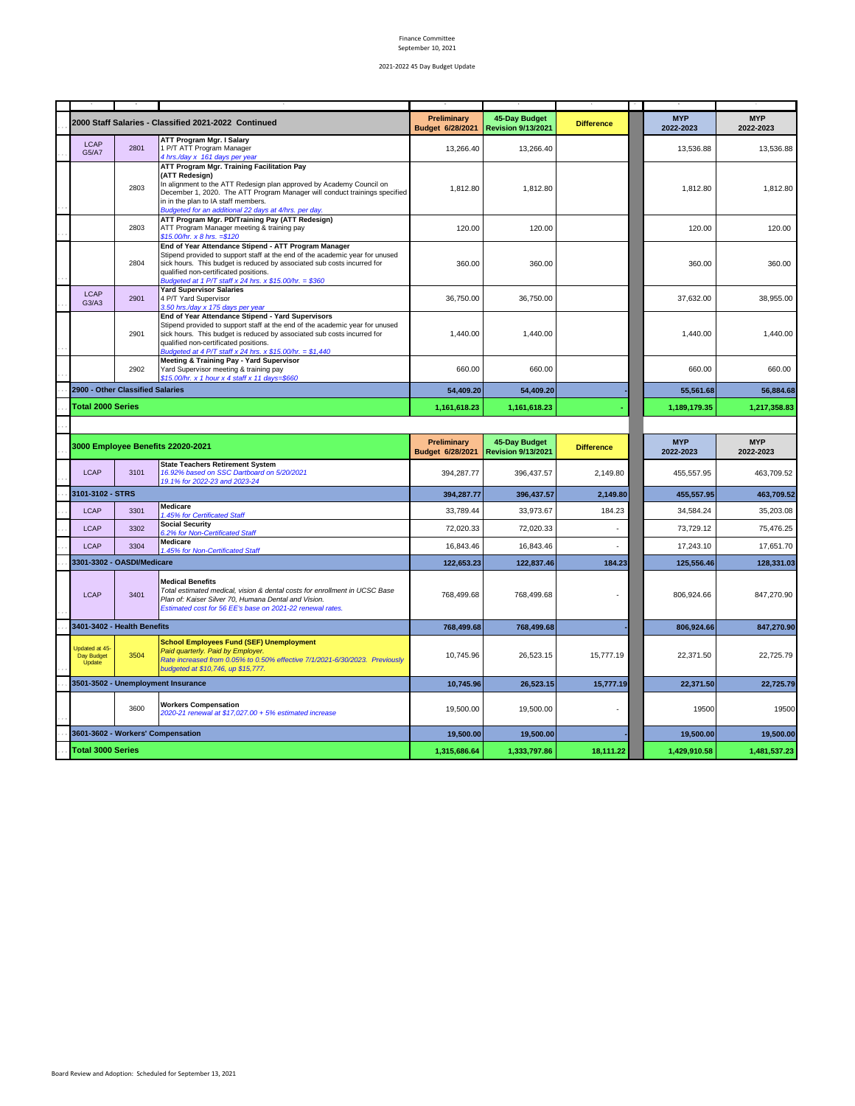|                                               |                                  | 2000 Staff Salaries - Classified 2021-2022 Continued                                                                                                                                                                                                                                                                | <b>Preliminary</b><br>Budget 6/28/2021 | 45-Day Budget<br><b>Revision 9/13/2021</b> | <b>Difference</b> | <b>MYP</b><br>2022-2023 | <b>MYP</b><br>2022-2023  |
|-----------------------------------------------|----------------------------------|---------------------------------------------------------------------------------------------------------------------------------------------------------------------------------------------------------------------------------------------------------------------------------------------------------------------|----------------------------------------|--------------------------------------------|-------------------|-------------------------|--------------------------|
| <b>LCAP</b><br>G5/A7                          | 2801                             | <b>ATT Program Mgr. I Salary</b><br>1 P/T ATT Program Manager<br>4 hrs./day x 161 days per year                                                                                                                                                                                                                     | 13,266.40                              | 13,266.40                                  |                   | 13,536.88               | 13,536.88                |
|                                               | 2803                             | ATT Program Mgr. Training Facilitation Pay<br>(ATT Redesign)<br>In alignment to the ATT Redesign plan approved by Academy Council on<br>December 1, 2020. The ATT Program Manager will conduct trainings specified<br>in in the plan to IA staff members.<br>Budgeted for an additional 22 days at 4/hrs. per day.  | 1,812.80                               | 1,812.80                                   |                   | 1,812.80                | 1,812.80                 |
|                                               | 2803                             | ATT Program Mgr. PD/Training Pay (ATT Redesign)<br>ATT Program Manager meeting & training pay<br>$$15.00/hr. x8 hrs. = $120$                                                                                                                                                                                        | 120.00                                 | 120.00                                     |                   | 120.00                  | 120.00                   |
|                                               | 2804                             | End of Year Attendance Stipend - ATT Program Manager<br>Stipend provided to support staff at the end of the academic year for unused<br>sick hours. This budget is reduced by associated sub costs incurred for<br>qualified non-certificated positions.<br>Budgeted at 1 P/T staff x 24 hrs. x \$15.00/hr. = \$360 | 360.00                                 | 360.00                                     |                   | 360.00                  | 360.00                   |
| LCAP<br>G3/A3                                 | 2901                             | <b>Yard Supervisor Salaries</b><br>4 P/T Yard Supervisor<br>3.50 hrs./day x 175 days per year                                                                                                                                                                                                                       | 36,750.00                              | 36,750.00                                  |                   | 37,632.00               | 38.955.00                |
|                                               | 2901                             | End of Year Attendance Stipend - Yard Supervisors<br>Stipend provided to support staff at the end of the academic year for unused<br>sick hours. This budget is reduced by associated sub costs incurred for<br>qualified non-certificated positions.<br>Budgeted at 4 P/T staff x 24 hrs. x \$15.00/hr. = \$1,440  | 1,440.00                               | 1,440.00                                   |                   | 1,440.00                | 1,440.00                 |
|                                               | 2902                             | Meeting & Training Pay - Yard Supervisor<br>Yard Supervisor meeting & training pay<br>\$15.00/hr. x 1 hour x 4 staff x 11 days=\$660                                                                                                                                                                                | 660.00                                 | 660.00                                     |                   | 660.00                  | 660.00                   |
|                                               | 2900 - Other Classified Salaries |                                                                                                                                                                                                                                                                                                                     | 54,409.20                              | 54,409.20                                  |                   | 55,561.68               | 56,884.68                |
| <b>Total 2000 Series</b>                      |                                  |                                                                                                                                                                                                                                                                                                                     | 1,161,618.23                           | 1,161,618.23                               |                   | 1,189,179.35            | 1,217,358.83             |
|                                               |                                  |                                                                                                                                                                                                                                                                                                                     |                                        |                                            |                   |                         |                          |
| 3000 Employee Benefits 22020-2021             |                                  |                                                                                                                                                                                                                                                                                                                     |                                        |                                            |                   |                         |                          |
|                                               |                                  |                                                                                                                                                                                                                                                                                                                     | <b>Preliminary</b><br>Budget 6/28/2021 | 45-Day Budget<br><b>Revision 9/13/2021</b> | <b>Difference</b> | <b>MYP</b><br>2022-2023 | <b>MYP</b><br>2022-2023  |
| LCAP                                          | 3101                             | <b>State Teachers Retirement System</b><br>16.92% based on SSC Dartboard on 5/20/2021<br>19.1% for 2022-23 and 2023-24                                                                                                                                                                                              | 394.287.77                             | 396.437.57                                 | 2.149.80          | 455.557.95              | 463.709.52               |
| 3101-3102 - STRS                              |                                  |                                                                                                                                                                                                                                                                                                                     | 394,287.77                             | 396,437.57                                 | 2,149.80          | 455,557.95              | 463,709.52               |
| <b>LCAP</b>                                   | 3301                             | Medicare<br>1.45% for Certificated Staff                                                                                                                                                                                                                                                                            | 33,789.44                              | 33,973.67                                  | 184.23            | 34,584.24               | 35,203.08                |
| LCAP                                          | 3302                             | <b>Social Security</b><br>6.2% for Non-Certificated Staff                                                                                                                                                                                                                                                           | 72,020.33                              | 72,020.33                                  |                   | 73,729.12               | 75,476.25                |
| <b>LCAP</b>                                   | 3304                             | Medicare<br>1.45% for Non-Certificated Staff                                                                                                                                                                                                                                                                        | 16,843.46                              | 16,843.46                                  |                   | 17,243.10               | 17,651.70                |
|                                               | 3301-3302 - OASDI/Medicare       |                                                                                                                                                                                                                                                                                                                     | 122,653.23                             | 122.837.46                                 | 184.23            | 125,556.46              |                          |
| <b>LCAP</b>                                   | 3401                             | <b>Medical Benefits</b><br>Total estimated medical, vision & dental costs for enrollment in UCSC Base<br>Plan of: Kaiser Silver 70, Humana Dental and Vision.<br>Estimated cost for 56 EE's base on 2021-22 renewal rates.                                                                                          | 768,499.68                             | 768,499.68                                 |                   | 806,924.66              | 128.331.03<br>847,270.90 |
|                                               | 3401-3402 - Health Benefits      |                                                                                                                                                                                                                                                                                                                     | 768,499.68                             | 768,499.68                                 |                   | 806,924.66              | 847,270.90               |
| Updated at 45-<br>Day Budget<br><b>Úpdate</b> | 3504                             | <b>School Employees Fund (SEF) Unemployment</b><br>Paid quarterly. Paid by Employer.<br>Rate increased from 0.05% to 0.50% effective 7/1/2021-6/30/2023. Previously<br>budgeted at \$10,746, up \$15,777.                                                                                                           | 10.745.96                              | 26.523.15                                  | 15.777.19         | 22.371.50               | 22,725.79                |
|                                               |                                  | 3501-3502 - Unemployment Insurance                                                                                                                                                                                                                                                                                  | 10,745.96                              | 26.523.15                                  | 15,777.19         | 22.371.50               | 22.725.79                |
|                                               | 3600                             | <b>Workers Compensation</b><br>2020-21 renewal at \$17,027.00 + 5% estimated increase                                                                                                                                                                                                                               | 19,500.00                              | 19,500.00                                  |                   | 19500                   | 19500                    |
|                                               |                                  | 3601-3602 - Workers' Compensation                                                                                                                                                                                                                                                                                   | 19,500.00                              | 19,500.00                                  |                   | 19,500.00               | 19,500.00                |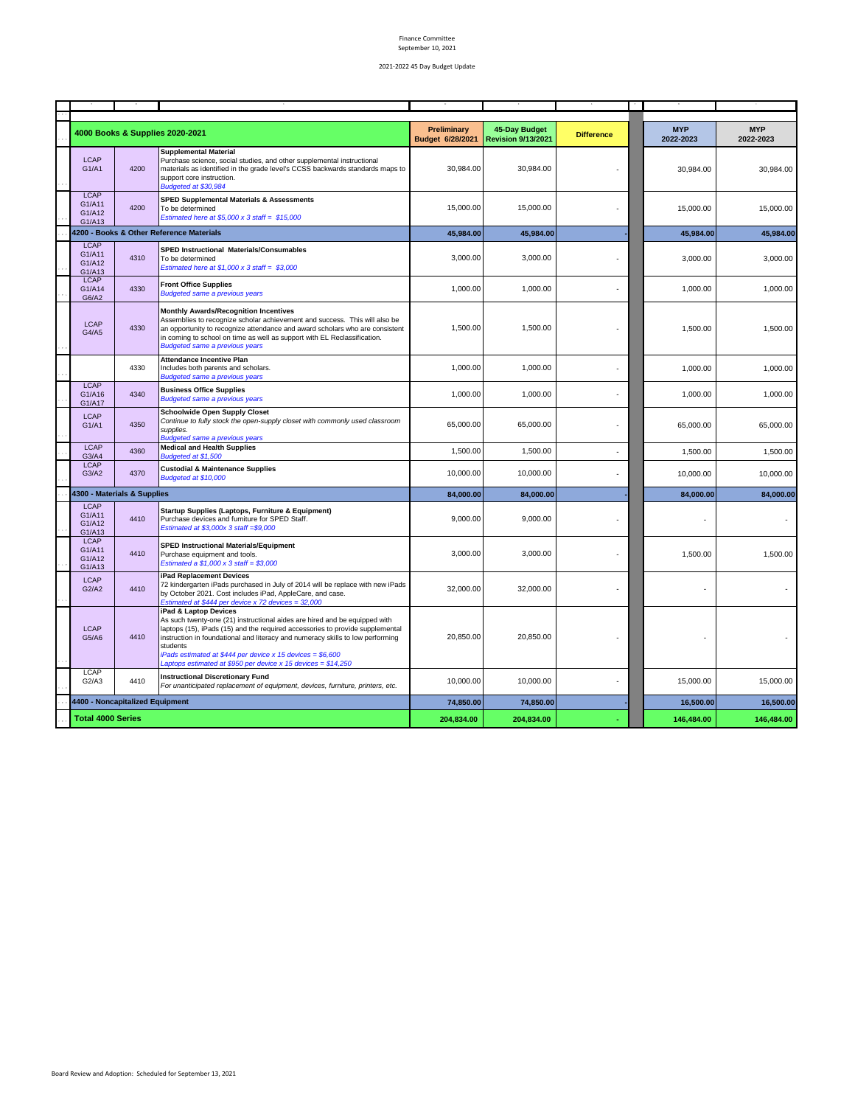|                                           |      | 4000 Books & Supplies 2020-2021                                                                                                                                                                                                                                                                                                                                                                                   | <b>Preliminary</b><br>Budget 6/28/2021 | 45-Day Budget<br><b>Revision 9/13/2021</b> | <b>Difference</b> | <b>MYP</b><br>2022-2023 | <b>MYP</b><br>2022-2023 |
|-------------------------------------------|------|-------------------------------------------------------------------------------------------------------------------------------------------------------------------------------------------------------------------------------------------------------------------------------------------------------------------------------------------------------------------------------------------------------------------|----------------------------------------|--------------------------------------------|-------------------|-------------------------|-------------------------|
| <b>LCAP</b><br>G1/A1                      | 4200 | <b>Supplemental Material</b><br>Purchase science, social studies, and other supplemental instructional<br>materials as identified in the grade level's CCSS backwards standards maps to<br>support core instruction.<br>Budgeted at \$30,984                                                                                                                                                                      | 30,984.00                              | 30,984.00                                  |                   | 30,984.00               | 30,984.00               |
| <b>LCAP</b><br>G1/A11<br>G1/A12<br>G1/A13 | 4200 | <b>SPED Supplemental Materials &amp; Assessments</b><br>To be determined<br>Estimated here at \$5,000 x 3 staff = $$15,000$                                                                                                                                                                                                                                                                                       | 15,000.00                              | 15,000.00                                  |                   | 15,000.00               | 15,000.00               |
|                                           |      | 4200 - Books & Other Reference Materials                                                                                                                                                                                                                                                                                                                                                                          | 45,984.00                              | 45,984.00                                  |                   | 45,984.00               | 45,984.00               |
| LCAP<br>G1/A11<br>G1/A12<br>G1/A13        | 4310 | SPED Instructional Materials/Consumables<br>To be determined<br>Estimated here at $$1,000 \times 3$ staff = \$3,000                                                                                                                                                                                                                                                                                               | 3,000.00                               | 3,000.00                                   |                   | 3.000.00                | 3,000.00                |
| <b>LCAP</b><br>G1/A14<br>G6/A2            | 4330 | <b>Front Office Supplies</b><br><b>Budgeted same a previous years</b>                                                                                                                                                                                                                                                                                                                                             | 1,000.00                               | 1,000.00                                   |                   | 1,000.00                | 1,000.00                |
| LCAP<br>G4/A5                             | 4330 | <b>Monthly Awards/Recognition Incentives</b><br>Assemblies to recognize scholar achievement and success. This will also be<br>an opportunity to recognize attendance and award scholars who are consistent<br>in coming to school on time as well as support with EL Reclassification.<br><b>Budgeted same a previous years</b>                                                                                   | 1,500.00                               | 1,500.00                                   |                   | 1,500.00                | 1,500.00                |
|                                           | 4330 | <b>Attendance Incentive Plan</b><br>Includes both parents and scholars.<br><b>Budgeted same a previous years</b>                                                                                                                                                                                                                                                                                                  | 1,000.00                               | 1,000.00                                   |                   | 1,000.00                | 1,000.00                |
| LCAP<br>G1/A16<br>G1/A17                  | 4340 | <b>Business Office Supplies</b><br><b>Budgeted same a previous years</b>                                                                                                                                                                                                                                                                                                                                          | 1,000.00                               | 1,000.00                                   |                   | 1,000.00                | 1,000.00                |
| <b>LCAP</b><br>G1/A1                      | 4350 | <b>Schoolwide Open Supply Closet</b><br>Continue to fully stock the open-supply closet with commonly used classroom<br>supplies.<br><b>Budgeted same a previous years</b>                                                                                                                                                                                                                                         | 65,000.00                              | 65,000.00                                  |                   | 65,000.00               | 65,000.00               |
| <b>LCAP</b><br>G3/A4                      | 4360 | <b>Medical and Health Supplies</b><br>Budgeted at \$1,500                                                                                                                                                                                                                                                                                                                                                         | 1,500.00                               | 1,500.00                                   | ä,                | 1,500.00                | 1,500.00                |
| <b>LCAP</b><br>G3/A2                      | 4370 | <b>Custodial &amp; Maintenance Supplies</b><br>Budgeted at \$10,000                                                                                                                                                                                                                                                                                                                                               | 10,000.00                              | 10,000.00                                  |                   | 10,000.00               | 10,000.00               |
| 4300 - Materials & Supplies               |      |                                                                                                                                                                                                                                                                                                                                                                                                                   | 84,000.00                              | 84,000.00                                  |                   | 84,000.00               | 84,000.00               |
| <b>LCAP</b><br>G1/A11<br>G1/A12<br>G1/A13 | 4410 | Startup Supplies (Laptops, Furniture & Equipment)<br>Purchase devices and furniture for SPED Staff.<br>Estimated at \$3,000x 3 staff = \$9,000                                                                                                                                                                                                                                                                    | 9,000.00                               | 9,000.00                                   |                   |                         |                         |
| LCAP<br>G1/A11<br>G1/A12<br>G1/A13        | 4410 | <b>SPED Instructional Materials/Equipment</b><br>Purchase equipment and tools.<br>Estimated a $$1,000 \times 3$ staff = \$3,000                                                                                                                                                                                                                                                                                   | 3,000.00                               | 3,000.00                                   |                   | 1,500.00                | 1,500.00                |
| <b>LCAP</b><br>G2/A2                      | 4410 | iPad Replacement Devices<br>72 kindergarten iPads purchased in July of 2014 will be replace with new iPads<br>by October 2021. Cost includes iPad, AppleCare, and case.<br>Estimated at \$444 per device $x$ 72 devices = 32,000                                                                                                                                                                                  | 32,000.00                              | 32,000.00                                  |                   |                         |                         |
| <b>LCAP</b><br>G5/A6                      | 4410 | iPad & Laptop Devices<br>As such twenty-one (21) instructional aides are hired and be equipped with<br>laptops (15), iPads (15) and the required accessories to provide supplemental<br>instruction in foundational and literacy and numeracy skills to low performing<br>students<br>iPads estimated at \$444 per device x 15 devices = \$6,600<br>Laptops estimated at \$950 per device x 15 devices = \$14,250 | 20,850.00                              | 20,850.00                                  |                   |                         |                         |
| LCAP<br>G2/A3                             | 4410 | <b>Instructional Discretionary Fund</b><br>For unanticipated replacement of equipment, devices, furniture, printers, etc.                                                                                                                                                                                                                                                                                         | 10,000.00                              | 10,000.00                                  |                   | 15,000.00               | 15,000.00               |
| 4400 - Noncapitalized Equipment           |      | 74,850.00                                                                                                                                                                                                                                                                                                                                                                                                         | 74,850.00                              |                                            | 16,500.00         | 16,500.00               |                         |
| <b>Total 4000 Series</b>                  |      |                                                                                                                                                                                                                                                                                                                                                                                                                   | 204,834.00                             | 204,834.00                                 |                   | 146,484.00              | 146,484.00              |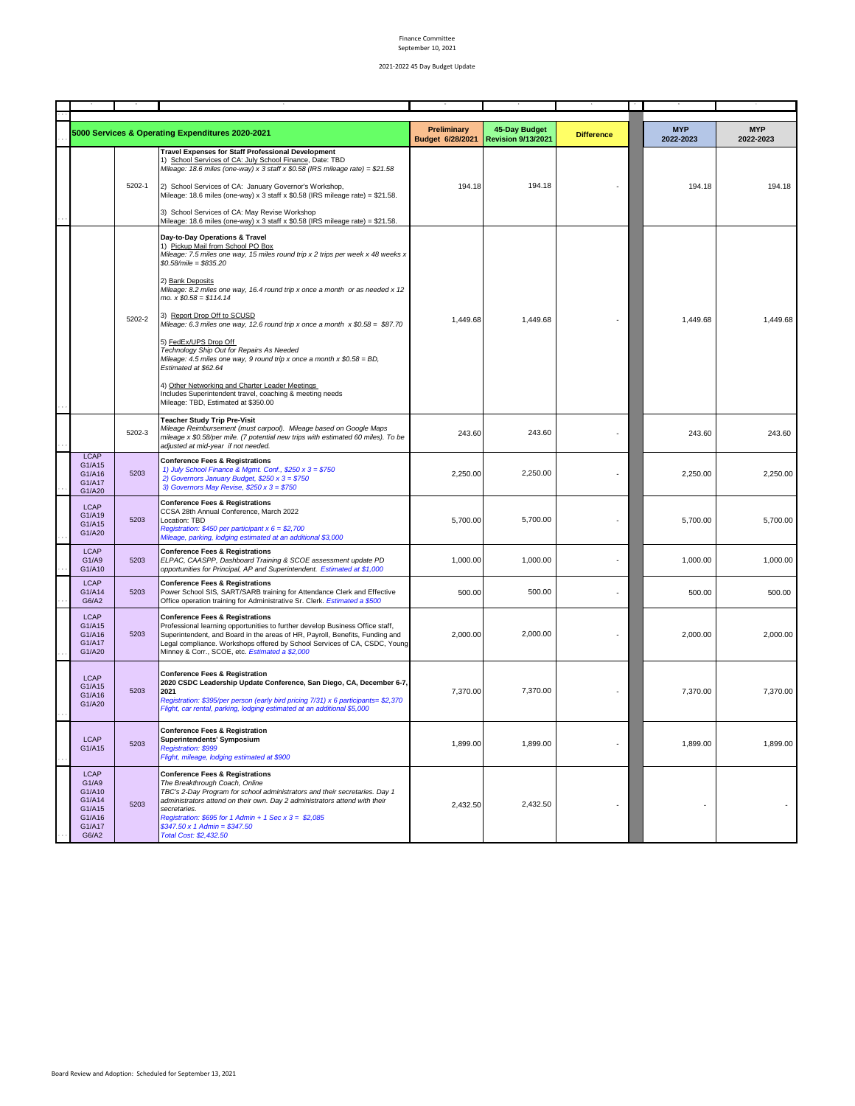|                                                                                 |        | 5000 Services & Operating Expenditures 2020-2021                                                                                                                                                                                                                                                                                                                                    | Preliminary<br>Budget 6/28/2021 | 45-Day Budget<br><b>Revision 9/13/2021</b> | <b>Difference</b> | <b>MYP</b><br>2022-2023 | <b>MYP</b><br>2022-2023 |
|---------------------------------------------------------------------------------|--------|-------------------------------------------------------------------------------------------------------------------------------------------------------------------------------------------------------------------------------------------------------------------------------------------------------------------------------------------------------------------------------------|---------------------------------|--------------------------------------------|-------------------|-------------------------|-------------------------|
|                                                                                 | 5202-1 | <b>Travel Expenses for Staff Professional Development</b><br>1) School Services of CA: July School Finance, Date: TBD<br>Mileage: 18.6 miles (one-way) x 3 staff x $$0.58$ (IRS mileage rate) = $$21.58$<br>2) School Services of CA: January Governor's Workshop,<br>Mileage: 18.6 miles (one-way) x 3 staff x $$0.58$ (IRS mileage rate) = $$21.58$ .                             | 194.18                          | 194.18                                     |                   | 194.18                  | 194.18                  |
|                                                                                 |        | 3) School Services of CA: May Revise Workshop<br>Mileage: 18.6 miles (one-way) x 3 staff x \$0.58 (IRS mileage rate) = \$21.58.                                                                                                                                                                                                                                                     |                                 |                                            |                   |                         |                         |
|                                                                                 |        | Day-to-Day Operations & Travel<br>1) Pickup Mail from School PO Box<br>Mileage: 7.5 miles one way, 15 miles round trip x 2 trips per week x 48 weeks x<br>$$0.58/mile = $835.20$                                                                                                                                                                                                    |                                 |                                            |                   |                         |                         |
|                                                                                 |        | 2) Bank Deposits<br>Mileage: 8.2 miles one way, 16.4 round trip x once a month or as needed x 12<br>$mo. x $0.58 = $114.14$                                                                                                                                                                                                                                                         |                                 |                                            |                   |                         |                         |
|                                                                                 | 5202-2 | 3) Report Drop Off to SCUSD<br>Mileage: 6.3 miles one way, 12.6 round trip x once a month $x$ \$0.58 = \$87.70                                                                                                                                                                                                                                                                      | 1,449.68                        | 1,449.68                                   |                   | 1,449.68                | 1,449.68                |
|                                                                                 |        | 5) FedEx/UPS Drop Off<br>Technology Ship Out for Repairs As Needed<br>Mileage: 4.5 miles one way, 9 round trip x once a month x $$0.58 = BD$ ,<br>Estimated at \$62.64                                                                                                                                                                                                              |                                 |                                            |                   |                         |                         |
|                                                                                 |        | 4) Other Networking and Charter Leader Meetings<br>Includes Superintendent travel, coaching & meeting needs<br>Mileage: TBD, Estimated at \$350.00                                                                                                                                                                                                                                  |                                 |                                            |                   |                         |                         |
|                                                                                 | 5202-3 | <b>Teacher Study Trip Pre-Visit</b><br>Mileage Reimbursement (must carpool). Mileage based on Google Maps<br>mileage x \$0.58/per mile. (7 potential new trips with estimated 60 miles). To be<br>adjusted at mid-year if not needed.                                                                                                                                               | 243.60                          | 243.60                                     |                   | 243.60                  | 243.60                  |
| <b>LCAP</b><br>G1/A15<br>G1/A16<br>G1/A17<br>G1/A20                             | 5203   | <b>Conference Fees &amp; Registrations</b><br>1) July School Finance & Mgmt. Conf., $$250 \times 3 = $750$<br>2) Governors January Budget, \$250 x $3 = $750$<br>3) Governors May Revise, $$250 \times 3 = $750$                                                                                                                                                                    | 2,250.00                        | 2,250.00                                   |                   | 2,250.00                | 2,250.00                |
| <b>LCAP</b><br>G1/A19<br>G1/A15<br>G1/A20                                       | 5203   | <b>Conference Fees &amp; Registrations</b><br>CCSA 28th Annual Conference, March 2022<br>Location: TBD<br>Registration: \$450 per participant $x 6 = $2,700$<br>Mileage, parking, lodging estimated at an additional \$3,000                                                                                                                                                        | 5,700.00                        | 5,700.00                                   |                   | 5,700.00                | 5,700.00                |
| <b>LCAP</b><br>G1/A9<br>G1/A10                                                  | 5203   | <b>Conference Fees &amp; Registrations</b><br>ELPAC, CAASPP, Dashboard Training & SCOE assessment update PD<br>opportunities for Principal, AP and Superintendent. Estimated at \$1,000                                                                                                                                                                                             | 1,000.00                        | 1,000.00                                   |                   | 1,000.00                | 1,000.00                |
| <b>LCAP</b><br>G1/A14<br>G6/A2                                                  | 5203   | <b>Conference Fees &amp; Registrations</b><br>Power School SIS, SART/SARB training for Attendance Clerk and Effective<br>Office operation training for Administrative Sr. Clerk. Estimated a \$500                                                                                                                                                                                  | 500.00                          | 500.00                                     |                   | 500.00                  | 500.00                  |
| <b>LCAP</b><br>G1/A15<br>G1/A16<br>G1/A17<br>G1/A20                             | 5203   | <b>Conference Fees &amp; Registrations</b><br>Professional learning opportunities to further develop Business Office staff,<br>Superintendent, and Board in the areas of HR, Payroll, Benefits, Funding and<br>Legal compliance. Workshops offered by School Services of CA, CSDC, Young<br>Minney & Corr., SCOE, etc. Estimated a \$2,000                                          | 2,000.00                        | 2,000.00                                   |                   | 2,000.00                | 2,000.00                |
| <b>LCAP</b><br>G1/A15<br>G1/A16<br>G1/A20                                       | 5203   | <b>Conference Fees &amp; Registration</b><br>2020 CSDC Leadership Update Conference, San Diego, CA, December 6-7,<br>2021<br>Registration: \$395/per person (early bird pricing 7/31) x 6 participants= \$2,370<br>Flight, car rental, parking, lodging estimated at an additional \$5,000                                                                                          | 7.370.00                        | 7,370.00                                   |                   | 7,370.00                | 7,370.00                |
| <b>LCAP</b><br>G1/A15                                                           | 5203   | <b>Conference Fees &amp; Registration</b><br>Superintendents' Symposium<br><b>Registration: \$999</b><br>Flight, mileage, lodging estimated at \$900                                                                                                                                                                                                                                | 1,899.00                        | 1,899.00                                   |                   | 1,899.00                | 1,899.00                |
| <b>LCAP</b><br>G1/Ag<br>G1/A10<br>G1/A14<br>G1/A15<br>G1/A16<br>G1/A17<br>G6/A2 | 5203   | <b>Conference Fees &amp; Registrations</b><br>The Breakthrough Coach, Online<br>TBC's 2-Day Program for school administrators and their secretaries. Day 1<br>administrators attend on their own. Day 2 administrators attend with their<br>secretaries.<br>Registration: \$695 for 1 Admin + 1 Sec x $3 = $2,085$<br>$$347.50 \times 1$ Admin = \$347.50<br>Total Cost: \$2,432.50 | 2,432.50                        | 2,432.50                                   |                   |                         |                         |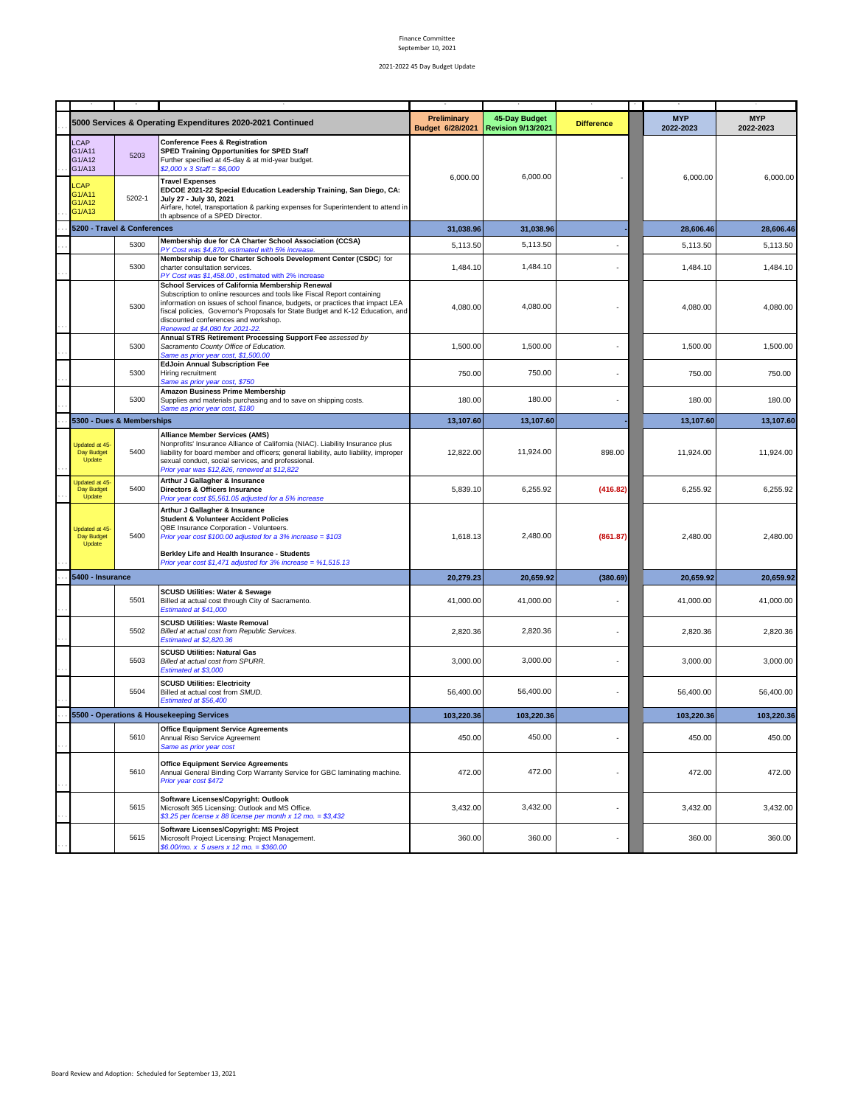|                                                                                 |                | 5000 Services & Operating Expenditures 2020-2021 Continued                                                                                                                                                                                                                                                                                                                                                                        | Preliminary<br>Budget 6/28/2021 | 45-Day Budget<br><b>Revision 9/13/2021</b> | <b>Difference</b> | <b>MYP</b><br>2022-2023 | <b>MYP</b><br>2022-2023 |
|---------------------------------------------------------------------------------|----------------|-----------------------------------------------------------------------------------------------------------------------------------------------------------------------------------------------------------------------------------------------------------------------------------------------------------------------------------------------------------------------------------------------------------------------------------|---------------------------------|--------------------------------------------|-------------------|-------------------------|-------------------------|
| <b>LCAP</b><br>G1/A11<br>G1/A12<br>G1/A13<br>LCAP<br>G1/A11<br>G1/A12<br>G1/A13 | 5203<br>5202-1 | <b>Conference Fees &amp; Registration</b><br><b>SPED Training Opportunities for SPED Staff</b><br>Further specified at 45-day & at mid-year budget.<br>$$2,000 \times 3 \text{ Staff} = $6,000$<br><b>Travel Expenses</b><br>EDCOE 2021-22 Special Education Leadership Training, San Diego, CA:<br>July 27 - July 30, 2021<br>Airfare, hotel, transportation & parking expenses for Superintendent to attend in                  | 6,000.00                        | 6,000.00                                   |                   | 6,000.00                | 6,000.00                |
| 5200 - Travel & Conferences                                                     |                | th apbsence of a SPED Director.                                                                                                                                                                                                                                                                                                                                                                                                   | 31,038.96                       | 31,038.96                                  |                   | 28,606.46               | 28,606.46               |
|                                                                                 | 5300           | Membership due for CA Charter School Association (CCSA)                                                                                                                                                                                                                                                                                                                                                                           |                                 | 5,113.50                                   |                   | 5.113.50                |                         |
|                                                                                 | 5300           | PY Cost was \$4,870, estimated with 5% increase.<br>Membership due for Charter Schools Development Center (CSDC) for<br>charter consultation services.                                                                                                                                                                                                                                                                            | 5,113.50<br>1,484.10            | 1,484.10                                   |                   | 1,484.10                | 5,113.50<br>1,484.10    |
|                                                                                 | 5300           | PY Cost was \$1,458.00, estimated with 2% increase<br>School Services of California Membership Renewal<br>Subscription to online resources and tools like Fiscal Report containing<br>information on issues of school finance, budgets, or practices that impact LEA<br>fiscal policies, Governor's Proposals for State Budget and K-12 Education, and<br>discounted conferences and workshop.<br>Renewed at \$4,080 for 2021-22. | 4,080.00                        | 4,080.00                                   |                   | 4,080.00                | 4,080.00                |
|                                                                                 | 5300           | Annual STRS Retirement Processing Support Fee assessed by<br>Sacramento County Office of Education.<br>Same as prior year cost, \$1,500.00                                                                                                                                                                                                                                                                                        | 1,500.00                        | 1,500.00                                   |                   | 1,500.00                | 1,500.00                |
|                                                                                 | 5300           | <b>EdJoin Annual Subscription Fee</b><br>Hiring recruitment<br>Same as prior year cost, \$750                                                                                                                                                                                                                                                                                                                                     | 750.00                          | 750.00                                     |                   | 750.00                  | 750.00                  |
|                                                                                 | 5300           | Amazon Business Prime Membership<br>Supplies and materials purchasing and to save on shipping costs.<br>Same as prior year cost, \$180                                                                                                                                                                                                                                                                                            | 180.00                          | 180.00                                     |                   | 180.00                  | 180.00                  |
| 5300 - Dues & Memberships                                                       |                |                                                                                                                                                                                                                                                                                                                                                                                                                                   | 13,107.60                       | 13,107.60                                  |                   | 13,107.60               | 13,107.60               |
| Updated at 45-<br>Day Budget<br>Update                                          | 5400           | <b>Alliance Member Services (AMS)</b><br>Nonprofits' Insurance Alliance of California (NIAC). Liability Insurance plus<br>liability for board member and officers; general liability, auto liability, improper<br>sexual conduct, social services, and professional,<br>Prior year was \$12,826, renewed at \$12,822                                                                                                              | 12.822.00                       | 11,924.00                                  | 898.00            | 11.924.00               | 11.924.00               |
| Updated at 45-<br>Day Budget<br>Update                                          | 5400           | Arthur J Gallagher & Insurance<br>Directors & Officers Insurance<br>Prior year cost \$5,561.05 adjusted for a 5% increase                                                                                                                                                                                                                                                                                                         | 5,839.10                        | 6,255.92                                   | (416.82)          | 6,255.92                | 6,255.92                |
| Updated at 45<br>Day Budget<br>Update                                           | 5400           | Arthur J Gallagher & Insurance<br><b>Student &amp; Volunteer Accident Policies</b><br>QBE Insurance Corporation - Volunteers.<br>Prior year cost \$100.00 adjusted for a 3% increase = $$103$<br>Berkley Life and Health Insurance - Students<br>Prior year cost \$1,471 adjusted for 3% increase = $%1,515.13$                                                                                                                   | 1,618.13                        | 2,480.00                                   | (861.87)          | 2,480.00                | 2,480.00                |
| 5400 - Insurance                                                                |                |                                                                                                                                                                                                                                                                                                                                                                                                                                   | 20,279.23                       | 20,659.92                                  | (380.69)          | 20,659.92               | 20,659.92               |
|                                                                                 | 5501           | <b>SCUSD Utilities: Water &amp; Sewage</b><br>Billed at actual cost through City of Sacramento.<br>Estimated at \$41,000                                                                                                                                                                                                                                                                                                          | 41,000.00                       | 41,000.00                                  |                   | 41,000.00               | 41,000.00               |
|                                                                                 | 5502           | <b>SCUSD Utilities: Waste Removal</b><br>Billed at actual cost from Republic Services.<br><b>Estimated at \$2,820.36</b>                                                                                                                                                                                                                                                                                                          | 2,820.36                        | 2,820.36                                   |                   | 2,820.36                | 2,820.36                |
|                                                                                 | 5503           | <b>SCUSD Utilities: Natural Gas</b><br>Billed at actual cost from SPURR.<br>Estimated at \$3,000                                                                                                                                                                                                                                                                                                                                  | 3,000.00                        | 3,000.00                                   |                   | 3,000.00                | 3,000.00                |
|                                                                                 | 5504           | <b>SCUSD Utilities: Electricity</b><br>Billed at actual cost from SMUD.<br>Estimated at \$56,400                                                                                                                                                                                                                                                                                                                                  | 56,400.00                       | 56,400.00                                  |                   | 56,400.00               | 56,400.00               |
|                                                                                 |                | 5500 - Operations & Housekeeping Services                                                                                                                                                                                                                                                                                                                                                                                         | 103,220.36                      | 103,220.36                                 |                   | 103,220.36              | 103,220.36              |
|                                                                                 | 5610           | <b>Office Equipment Service Agreements</b><br>Annual Riso Service Agreement<br>Same as prior year cost                                                                                                                                                                                                                                                                                                                            | 450.00                          | 450.00                                     |                   | 450.00                  | 450.00                  |
|                                                                                 | 5610           | <b>Office Equipment Service Agreements</b><br>Annual General Binding Corp Warranty Service for GBC laminating machine.<br>Prior year cost \$472                                                                                                                                                                                                                                                                                   | 472.00                          | 472.00                                     |                   | 472.00                  | 472.00                  |
|                                                                                 | 5615           | Software Licenses/Copyright: Outlook<br>Microsoft 365 Licensing: Outlook and MS Office.<br>\$3.25 per license x 88 license per month x 12 mo. = \$3,432                                                                                                                                                                                                                                                                           | 3,432.00                        | 3,432.00                                   |                   | 3,432.00                | 3,432.00                |
|                                                                                 | 5615           | <b>Software Licenses/Copyright: MS Project</b><br>Microsoft Project Licensing: Project Management.<br>\$6.00/mo. x 5 users x 12 mo. = \$360.00                                                                                                                                                                                                                                                                                    | 360.00                          | 360.00                                     |                   | 360.00                  | 360.00                  |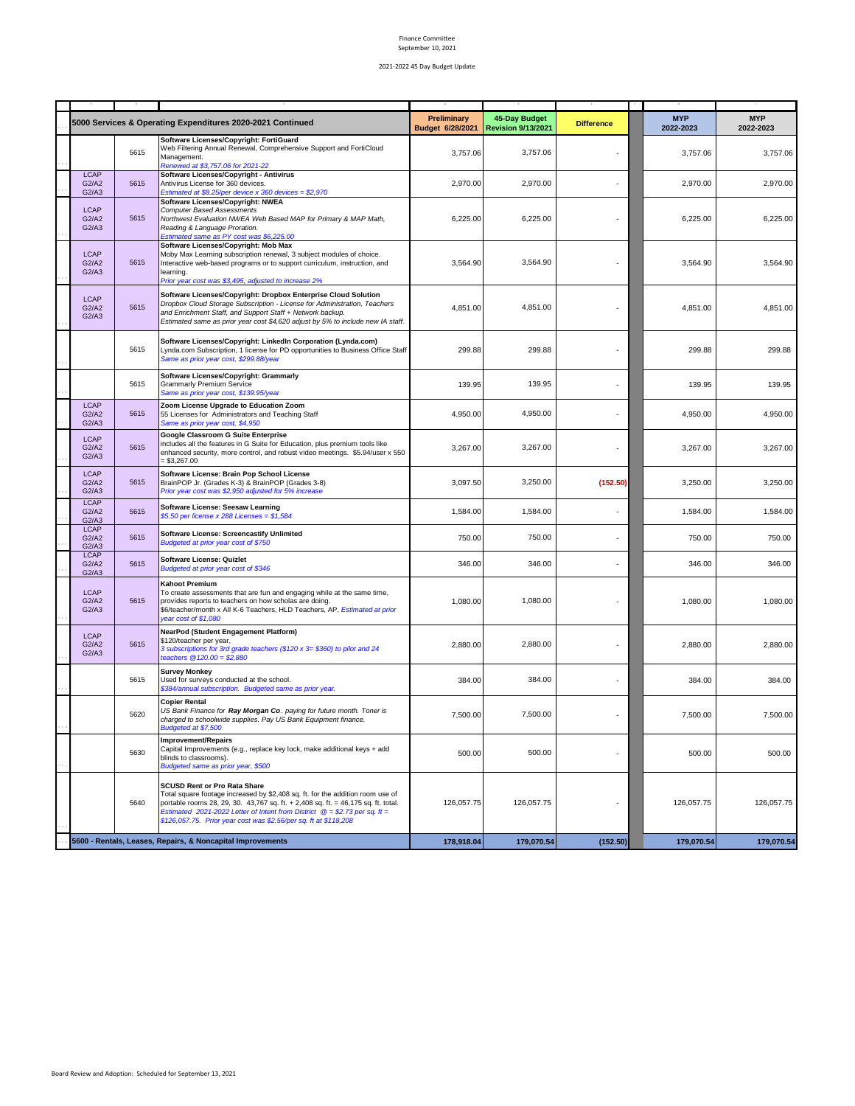|                               |      | 5000 Services & Operating Expenditures 2020-2021 Continued                                                                                                                                                                                                                                                                                                                 | Preliminary<br>Budget 6/28/2021 | 45-Day Budget<br><b>Revision 9/13/2021</b> | <b>Difference</b> | <b>MYP</b><br>2022-2023 | <b>MYP</b><br>2022-2023 |
|-------------------------------|------|----------------------------------------------------------------------------------------------------------------------------------------------------------------------------------------------------------------------------------------------------------------------------------------------------------------------------------------------------------------------------|---------------------------------|--------------------------------------------|-------------------|-------------------------|-------------------------|
|                               | 5615 | Software Licenses/Copyright: FortiGuard<br>Web Filtering Annual Renewal, Comprehensive Support and FortiCloud<br>Management.<br>Renewed at \$3,757.06 for 2021-22                                                                                                                                                                                                          | 3,757.06                        | 3,757.06                                   |                   | 3,757.06                | 3,757.06                |
| <b>LCAP</b><br>G2/A2<br>G2/A3 | 5615 | Software Licenses/Copyright - Antivirus<br>Antivirus License for 360 devices.<br>Estimated at \$8.25/per device x 360 devices = \$2,970                                                                                                                                                                                                                                    | 2,970.00                        | 2,970.00                                   |                   | 2,970.00                | 2,970.00                |
| <b>LCAP</b><br>G2/A2<br>G2/A3 | 5615 | Software Licenses/Copyright: NWEA<br><b>Computer Based Assessments</b><br>Northwest Evaluation NWEA Web Based MAP for Primary & MAP Math,<br>Reading & Language Proration.<br>Estimated same as PY cost was \$6,225.00                                                                                                                                                     | 6,225.00                        | 6,225.00                                   |                   | 6,225.00                | 6,225.00                |
| <b>LCAP</b><br>G2/A2<br>G2/A3 | 5615 | Software Licenses/Copyright: Mob Max<br>Moby Max Learning subscription renewal, 3 subject modules of choice.<br>Interactive web-based programs or to support curriculum, instruction, and<br>learning.<br>Prior year cost was \$3,495, adjusted to increase 2%                                                                                                             | 3,564.90                        | 3,564.90                                   |                   | 3,564.90                | 3,564.90                |
| <b>LCAP</b><br>G2/A2<br>G2/A3 | 5615 | Software Licenses/Copyright: Dropbox Enterprise Cloud Solution<br>Dropbox Cloud Storage Subscription - License for Administration, Teachers<br>and Enrichment Staff, and Support Staff + Network backup.<br>Estimated same as prior year cost \$4,620 adjust by 5% to include new IA staff.                                                                                | 4,851.00                        | 4,851.00                                   |                   | 4,851.00                | 4,851.00                |
|                               | 5615 | Software Licenses/Copyright: LinkedIn Corporation (Lynda.com)<br>Lynda.com Subscription, 1 license for PD opportunities to Business Office Staff<br>Same as prior year cost, \$299.88/year                                                                                                                                                                                 | 299.88                          | 299.88                                     |                   | 299.88                  | 299.88                  |
|                               | 5615 | Software Licenses/Copyright: Grammarly<br><b>Grammarly Premium Service</b><br>Same as prior year cost, \$139.95/year                                                                                                                                                                                                                                                       | 139.95                          | 139.95                                     |                   | 139.95                  | 139.95                  |
| <b>LCAP</b><br>G2/A2<br>G2/A3 | 5615 | Zoom License Upgrade to Education Zoom<br>55 Licenses for Administrators and Teaching Staff<br>Same as prior year cost, \$4,950                                                                                                                                                                                                                                            | 4,950.00                        | 4,950.00                                   |                   | 4,950.00                | 4,950.00                |
| <b>LCAP</b><br>G2/A2<br>G2/A3 | 5615 | Google Classroom G Suite Enterprise<br>includes all the features in G Suite for Education, plus premium tools like<br>enhanced security, more control, and robust video meetings. \$5.94/user x 550<br>$= $3,267.00$                                                                                                                                                       | 3,267.00                        | 3,267.00                                   |                   | 3,267.00                | 3,267.00                |
| <b>LCAP</b><br>G2/A2<br>G2/A3 | 5615 | Software License: Brain Pop School License<br>BrainPOP Jr. (Grades K-3) & BrainPOP (Grades 3-8)<br>Prior year cost was \$2,950 adjusted for 5% increase                                                                                                                                                                                                                    | 3,097.50                        | 3,250.00                                   | (152.50)          | 3,250.00                | 3,250.00                |
| <b>LCAP</b><br>G2/A2<br>G2/A3 | 5615 | Software License: Seesaw Learning<br>\$5.50 per license x 288 Licenses = $$1,584$                                                                                                                                                                                                                                                                                          | 1,584.00                        | 1,584.00                                   |                   | 1,584.00                | 1,584.00                |
| <b>LCAP</b><br>G2/A2<br>G2/A3 | 5615 | Software License: Screencastify Unlimited<br>Budgeted at prior year cost of \$750                                                                                                                                                                                                                                                                                          | 750.00                          | 750.00                                     |                   | 750.00                  | 750.00                  |
| <b>LCAP</b><br>G2/A2<br>G2/A3 | 5615 | Software License: Quizlet<br>Budgeted at prior year cost of \$346                                                                                                                                                                                                                                                                                                          | 346.00                          | 346.00                                     |                   | 346.00                  | 346.00                  |
| <b>LCAP</b><br>G2/A2<br>G2/A3 | 5615 | <b>Kahoot Premium</b><br>To create assessments that are fun and engaging while at the same time,<br>provides reports to teachers on how scholas are doing.<br>\$6/teacher/month x All K-6 Teachers, HLD Teachers, AP, Estimated at prior<br>year cost of \$1,080                                                                                                           | 1,080.00                        | 1,080.00                                   |                   | 1,080.00                | 1,080.00                |
| <b>LCAP</b><br>G2/A2<br>G2/A3 | 5615 | NearPod (Student Engagement Platform)<br>\$120/teacher per year,<br>3 subscriptions for 3rd grade teachers (\$120 x 3= \$360) to pilot and 24<br>teachers $@120.00 = $2,880$                                                                                                                                                                                               | 2,880.00                        | 2,880.00                                   |                   | 2,880.00                | 2,880.00                |
|                               | 5615 | <b>Survey Monkey</b><br>Used for surveys conducted at the school.<br>\$384/annual subscription. Budgeted same as prior year.                                                                                                                                                                                                                                               | 384.00                          | 384.00                                     |                   | 384.00                  | 384.00                  |
|                               | 5620 | <b>Copier Rental</b><br>US Bank Finance for Ray Morgan Co. paying for future month. Toner is<br>charged to schoolwide supplies. Pay US Bank Equipment finance.<br>Budgeted at \$7,500                                                                                                                                                                                      | 7,500.00                        | 7,500.00                                   |                   | 7,500.00                | 7,500.00                |
|                               | 5630 | Improvement/Repairs<br>Capital Improvements (e.g., replace key lock, make additional keys + add<br>blinds to classrooms).<br>Budgeted same as prior year, \$500                                                                                                                                                                                                            | 500.00                          | 500.00                                     |                   | 500.00                  | 500.00                  |
|                               | 5640 | <b>SCUSD Rent or Pro Rata Share</b><br>Total square footage increased by \$2,408 sq. ft. for the addition room use of<br>portable rooms 28, 29, 30. 43, 767 sq. ft. + 2, 408 sq. ft. = 46, 175 sq. ft. total.<br>Estimated 2021-2022 Letter of Intent from District $\mathcal{Q} = $2.73$ per sq. ft =<br>\$126,057.75. Prior year cost was \$2.56/per sq. ft at \$118,208 | 126.057.75                      | 126,057.75                                 |                   | 126,057.75              | 126,057.75              |
|                               |      | 5600 - Rentals, Leases, Repairs, & Noncapital Improvements                                                                                                                                                                                                                                                                                                                 | 178,918.04                      | 179,070.54                                 | (152.50)          | 179,070.54              | 179,070.54              |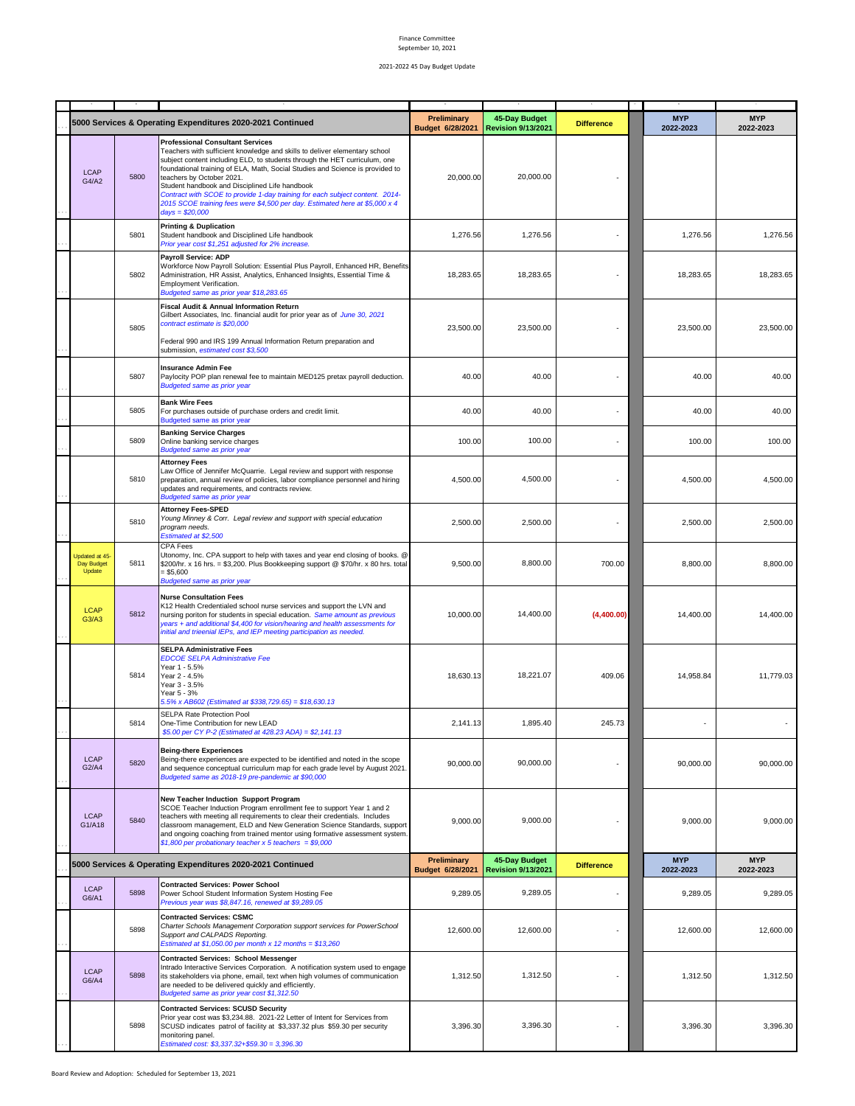|                                                            |      |                                                                                                                                                                                                                                                                                                                                                                                                                                                                                                                                                        | Preliminary                                | 45-Day Budget             |                         | <b>MYP</b>              | <b>MYP</b> |
|------------------------------------------------------------|------|--------------------------------------------------------------------------------------------------------------------------------------------------------------------------------------------------------------------------------------------------------------------------------------------------------------------------------------------------------------------------------------------------------------------------------------------------------------------------------------------------------------------------------------------------------|--------------------------------------------|---------------------------|-------------------------|-------------------------|------------|
|                                                            |      | 5000 Services & Operating Expenditures 2020-2021 Continued                                                                                                                                                                                                                                                                                                                                                                                                                                                                                             | Budget 6/28/2021                           | <b>Revision 9/13/2021</b> | <b>Difference</b>       | 2022-2023               | 2022-2023  |
| <b>LCAP</b><br>G4/A2                                       | 5800 | <b>Professional Consultant Services</b><br>Teachers with sufficient knowledge and skills to deliver elementary school<br>subject content including ELD, to students through the HET curriculum, one<br>foundational training of ELA, Math, Social Studies and Science is provided to<br>teachers by October 2021.<br>Student handbook and Disciplined Life handbook<br>Contract with SCOE to provide 1-day training for each subject content. 2014-<br>2015 SCOE training fees were \$4,500 per day. Estimated here at \$5,000 x 4<br>$days = $20,000$ | 20,000.00                                  | 20,000.00                 |                         |                         |            |
|                                                            | 5801 | <b>Printing &amp; Duplication</b><br>Student handbook and Disciplined Life handbook<br>Prior year cost \$1,251 adjusted for 2% increase.                                                                                                                                                                                                                                                                                                                                                                                                               | 1,276.56                                   | 1,276.56                  |                         | 1,276.56                | 1,276.56   |
|                                                            | 5802 | Payroll Service: ADP<br>Workforce Now Payroll Solution: Essential Plus Payroll, Enhanced HR, Benefits<br>Administration, HR Assist, Analytics, Enhanced Insights, Essential Time &<br>Employment Verification.<br>Budgeted same as prior year \$18,283.65                                                                                                                                                                                                                                                                                              | 18,283.65                                  | 18,283.65                 |                         | 18,283.65               | 18,283.65  |
|                                                            | 5805 | <b>Fiscal Audit &amp; Annual Information Return</b><br>Gilbert Associates, Inc. financial audit for prior year as of June 30, 2021<br>contract estimate is \$20,000<br>Federal 990 and IRS 199 Annual Information Return preparation and<br>submission, estimated cost \$3,500                                                                                                                                                                                                                                                                         | 23,500.00                                  | 23,500.00                 |                         | 23,500.00               | 23,500.00  |
|                                                            | 5807 | <b>Insurance Admin Fee</b><br>Paylocity POP plan renewal fee to maintain MED125 pretax payroll deduction.<br><b>Budgeted same as prior year</b>                                                                                                                                                                                                                                                                                                                                                                                                        | 40.00                                      | 40.00                     |                         | 40.00                   | 40.00      |
|                                                            | 5805 | <b>Bank Wire Fees</b><br>For purchases outside of purchase orders and credit limit.<br>Budgeted same as prior year                                                                                                                                                                                                                                                                                                                                                                                                                                     | 40.00                                      | 40.00                     |                         | 40.00                   | 40.00      |
|                                                            | 5809 | <b>Banking Service Charges</b><br>Online banking service charges<br><b>Budgeted same as prior year</b>                                                                                                                                                                                                                                                                                                                                                                                                                                                 | 100.00                                     | 100.00                    |                         | 100.00                  | 100.00     |
|                                                            | 5810 | <b>Attorney Fees</b><br>Law Office of Jennifer McQuarrie. Legal review and support with response<br>preparation, annual review of policies, labor compliance personnel and hiring<br>updates and requirements, and contracts review.<br><b>Budgeted same as prior year</b>                                                                                                                                                                                                                                                                             | 4,500.00                                   | 4,500.00                  |                         | 4,500.00                | 4,500.00   |
|                                                            | 5810 | <b>Attorney Fees-SPED</b><br>Young Minney & Corr. Legal review and support with special education<br>program needs.<br>Estimated at \$2,500                                                                                                                                                                                                                                                                                                                                                                                                            | 2,500.00                                   | 2,500.00                  |                         | 2,500.00                | 2,500.00   |
| Jpdated at 45-<br>Day Budget<br>Update                     | 5811 | <b>CPA Fees</b><br>Utonomy, Inc. CPA support to help with taxes and year end closing of books. @<br>\$200/hr. x 16 hrs. = \$3,200. Plus Bookkeeping support @ \$70/hr. x 80 hrs. total<br>$= $5,600$<br>Budgeted same as prior year                                                                                                                                                                                                                                                                                                                    | 9,500.00                                   | 8,800.00                  | 700.00                  | 8,800.00                | 8,800.00   |
| <b>LCAP</b><br>G3/A3                                       | 5812 | <b>Nurse Consultation Fees</b><br>K12 Health Credentialed school nurse services and support the LVN and<br>nursing poriton for students in special education. Same amount as previous<br>years + and additional \$4,400 for vision/hearing and health assessments for<br>initial and trieenial IEPs, and IEP meeting participation as needed.                                                                                                                                                                                                          | 10,000.00                                  | 14,400.00                 | (4,400.00)              | 14,400.00               | 14,400.00  |
|                                                            | 5814 | <b>SELPA Administrative Fees</b><br><b>EDCOE SELPA Administrative Fee</b><br>Year 1 - 5.5%<br>Year 2 - 4.5%<br>Year 3 - 3.5%<br>Year 5 - 3%<br>5.5% x AB602 (Estimated at \$338,729.65) = \$18,630.13                                                                                                                                                                                                                                                                                                                                                  | 18.630.13                                  | 18,221.07                 | 409.06                  | 14,958.84               | 11,779.03  |
|                                                            | 5814 | SELPA Rate Protection Pool<br>One-Time Contribution for new LEAD<br>\$5.00 per CY P-2 (Estimated at 428.23 ADA) = \$2,141.13                                                                                                                                                                                                                                                                                                                                                                                                                           | 2.141.13                                   | 1,895.40                  | 245.73                  |                         |            |
| <b>LCAP</b><br>G2/A4                                       | 5820 | <b>Being-there Experiences</b><br>Being-there experiences are expected to be identified and noted in the scope<br>and sequence conceptual curriculum map for each grade level by August 2021.<br>Budgeted same as 2018-19 pre-pandemic at \$90,000                                                                                                                                                                                                                                                                                                     | 90,000.00                                  | 90,000.00                 |                         | 90,000.00               | 90,000.00  |
| LCAP<br>G1/A18                                             | 5840 | New Teacher Induction Support Program<br>SCOE Teacher Induction Program enrollment fee to support Year 1 and 2<br>teachers with meeting all requirements to clear their credentials. Includes<br>classroom management, ELD and New Generation Science Standards, support<br>and ongoing coaching from trained mentor using formative assessment system.<br>$$1,800$ per probationary teacher x 5 teachers = \$9,000                                                                                                                                    | 9,000.00                                   | 9,000.00                  |                         | 9,000.00                | 9,000.00   |
| 5000 Services & Operating Expenditures 2020-2021 Continued |      | Preliminary<br>Budget 6/28/2021                                                                                                                                                                                                                                                                                                                                                                                                                                                                                                                        | 45-Day Budget<br><b>Revision 9/13/2021</b> | <b>Difference</b>         | <b>MYP</b><br>2022-2023 | <b>MYP</b><br>2022-2023 |            |
| <b>LCAP</b><br>G6/A1                                       | 5898 | <b>Contracted Services: Power School</b><br>Power School Student Information System Hosting Fee<br>Previous year was \$8,847.16, renewed at \$9,289.05                                                                                                                                                                                                                                                                                                                                                                                                 | 9,289.05                                   | 9,289.05                  |                         | 9,289.05                | 9,289.05   |
|                                                            | 5898 | <b>Contracted Services: CSMC</b><br>Charter Schools Management Corporation support services for PowerSchool<br>Support and CALPADS Reporting.<br>Estimated at \$1,050.00 per month x 12 months = $$13,260$                                                                                                                                                                                                                                                                                                                                             | 12,600.00                                  | 12,600.00                 |                         | 12,600.00               | 12,600.00  |
| LCAP<br>G6/A4                                              | 5898 | <b>Contracted Services: School Messenger</b><br>Intrado Interactive Services Corporation. A notification system used to engage<br>its stakeholders via phone, email, text when high volumes of communication<br>are needed to be delivered quickly and efficiently.<br>Budgeted same as prior year cost \$1,312.50                                                                                                                                                                                                                                     | 1,312.50                                   | 1,312.50                  |                         | 1,312.50                | 1,312.50   |
|                                                            | 5898 | <b>Contracted Services: SCUSD Security</b><br>Prior year cost was \$3,234.88. 2021-22 Letter of Intent for Services from<br>SCUSD indicates patrol of facility at \$3,337.32 plus \$59.30 per security<br>monitoring panel.<br>Estimated cost: \$3,337.32+\$59.30 = 3,396.30                                                                                                                                                                                                                                                                           | 3,396.30                                   | 3,396.30                  |                         | 3,396.30                | 3,396.30   |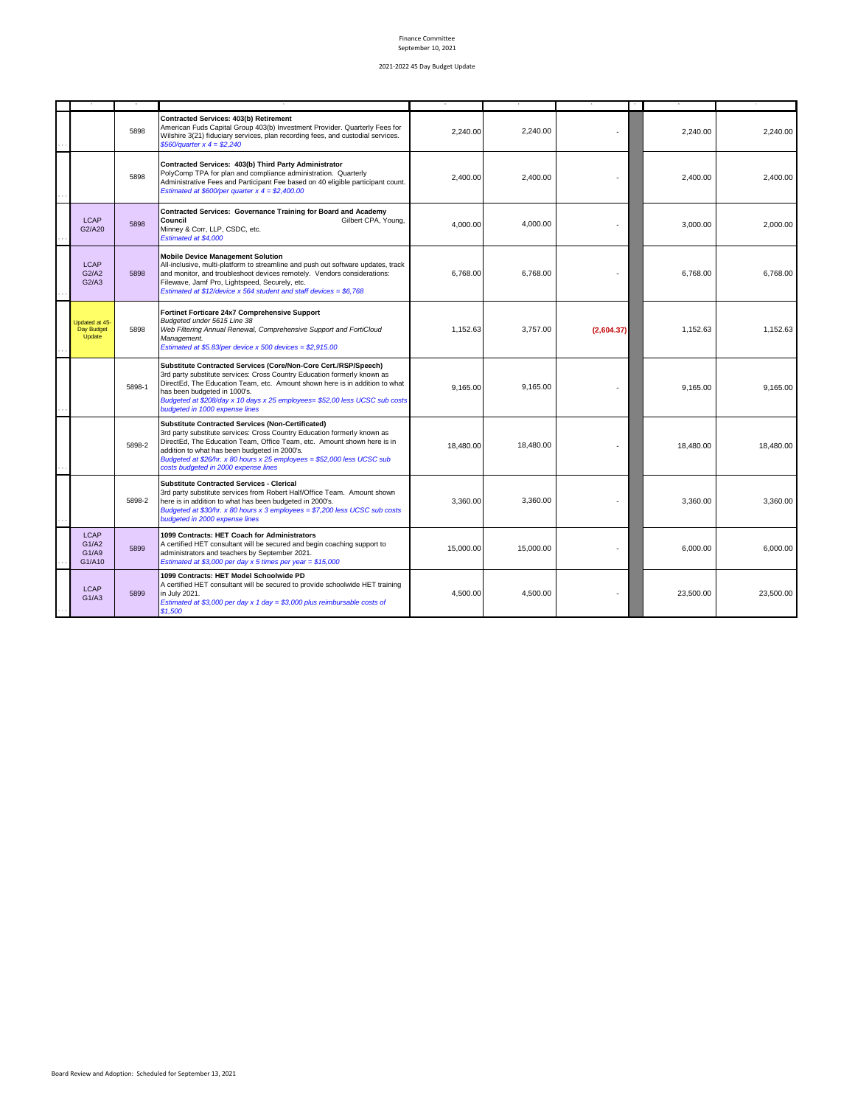|                                         | 5898   | <b>Contracted Services: 403(b) Retirement</b><br>American Fuds Capital Group 403(b) Investment Provider. Quarterly Fees for<br>Wilshire 3(21) fiduciary services, plan recording fees, and custodial services.<br>\$560/quarter x $4 = $2,240$                                                                                                                                      | 2,240.00  | 2.240.00  |            | 2,240.00  | 2,240.00  |
|-----------------------------------------|--------|-------------------------------------------------------------------------------------------------------------------------------------------------------------------------------------------------------------------------------------------------------------------------------------------------------------------------------------------------------------------------------------|-----------|-----------|------------|-----------|-----------|
|                                         | 5898   | Contracted Services: 403(b) Third Party Administrator<br>PolyComp TPA for plan and compliance administration. Quarterly<br>Administrative Fees and Participant Fee based on 40 eligible participant count.<br>Estimated at \$600/per quarter $x$ 4 = \$2,400.00                                                                                                                     | 2.400.00  | 2.400.00  |            | 2.400.00  | 2,400.00  |
| <b>LCAP</b><br>G2/A20                   | 5898   | Contracted Services: Governance Training for Board and Academy<br>Council<br>Gilbert CPA, Young,<br>Minney & Corr, LLP, CSDC, etc.<br>Estimated at \$4,000                                                                                                                                                                                                                          | 4,000.00  | 4.000.00  |            | 3,000.00  | 2,000.00  |
| <b>LCAP</b><br>G2/A2<br>G2/A3           | 5898   | <b>Mobile Device Management Solution</b><br>All-inclusive, multi-platform to streamline and push out software updates, track<br>and monitor, and troubleshoot devices remotely. Vendors considerations:<br>Filewave, Jamf Pro, Lightspeed, Securely, etc.<br>Estimated at \$12/device x 564 student and staff devices = \$6,768                                                     | 6,768.00  | 6,768.00  |            | 6,768.00  | 6,768.00  |
| Updated at 45-<br>Day Budget<br>Update  | 5898   | Fortinet Forticare 24x7 Comprehensive Support<br>Budgeted under 5615 Line 38<br>Web Filtering Annual Renewal, Comprehensive Support and FortiCloud<br>Management.<br>Estimated at \$5.83/per device $x$ 500 devices = \$2,915.00                                                                                                                                                    | 1,152.63  | 3,757.00  | (2,604.37) | 1,152.63  | 1,152.63  |
|                                         | 5898-1 | Substitute Contracted Services (Core/Non-Core Cert./RSP/Speech)<br>3rd party substitute services: Cross Country Education formerly known as<br>DirectEd, The Education Team, etc. Amount shown here is in addition to what<br>has been budgeted in 1000's.<br>Budgeted at \$208/day x 10 days x 25 employees= \$52,00 less UCSC sub costs<br>budgeted in 1000 expense lines         | 9,165.00  | 9,165.00  |            | 9,165.00  | 9,165.00  |
|                                         | 5898-2 | <b>Substitute Contracted Services (Non-Certificated)</b><br>3rd party substitute services: Cross Country Education formerly known as<br>DirectEd, The Education Team, Office Team, etc. Amount shown here is in<br>addition to what has been budgeted in 2000's.<br>Budgeted at \$26/hr. x 80 hours x 25 employees = \$52,000 less UCSC sub<br>costs budgeted in 2000 expense lines | 18.480.00 | 18.480.00 |            | 18,480.00 | 18,480,00 |
|                                         | 5898-2 | <b>Substitute Contracted Services - Clerical</b><br>3rd party substitute services from Robert Half/Office Team. Amount shown<br>here is in addition to what has been budgeted in 2000's.<br>Budgeted at \$30/hr. x 80 hours x 3 employees = \$7,200 less UCSC sub costs<br>budgeted in 2000 expense lines                                                                           | 3,360.00  | 3.360.00  |            | 3,360.00  | 3,360.00  |
| <b>LCAP</b><br>G1/A2<br>G1/A9<br>G1/A10 | 5899   | 1099 Contracts: HET Coach for Administrators<br>A certified HET consultant will be secured and begin coaching support to<br>administrators and teachers by September 2021.<br>Estimated at \$3,000 per day x 5 times per year = \$15,000                                                                                                                                            | 15,000.00 | 15,000.00 |            | 6,000.00  | 6,000.00  |
| <b>LCAP</b><br>G1/A3                    | 5899   | 1099 Contracts: HET Model Schoolwide PD<br>A certified HET consultant will be secured to provide schoolwide HET training<br>in July 2021.<br>Estimated at \$3,000 per day $x 1$ day = \$3,000 plus reimbursable costs of<br>\$1,500                                                                                                                                                 | 4,500.00  | 4,500.00  |            | 23,500.00 | 23,500.00 |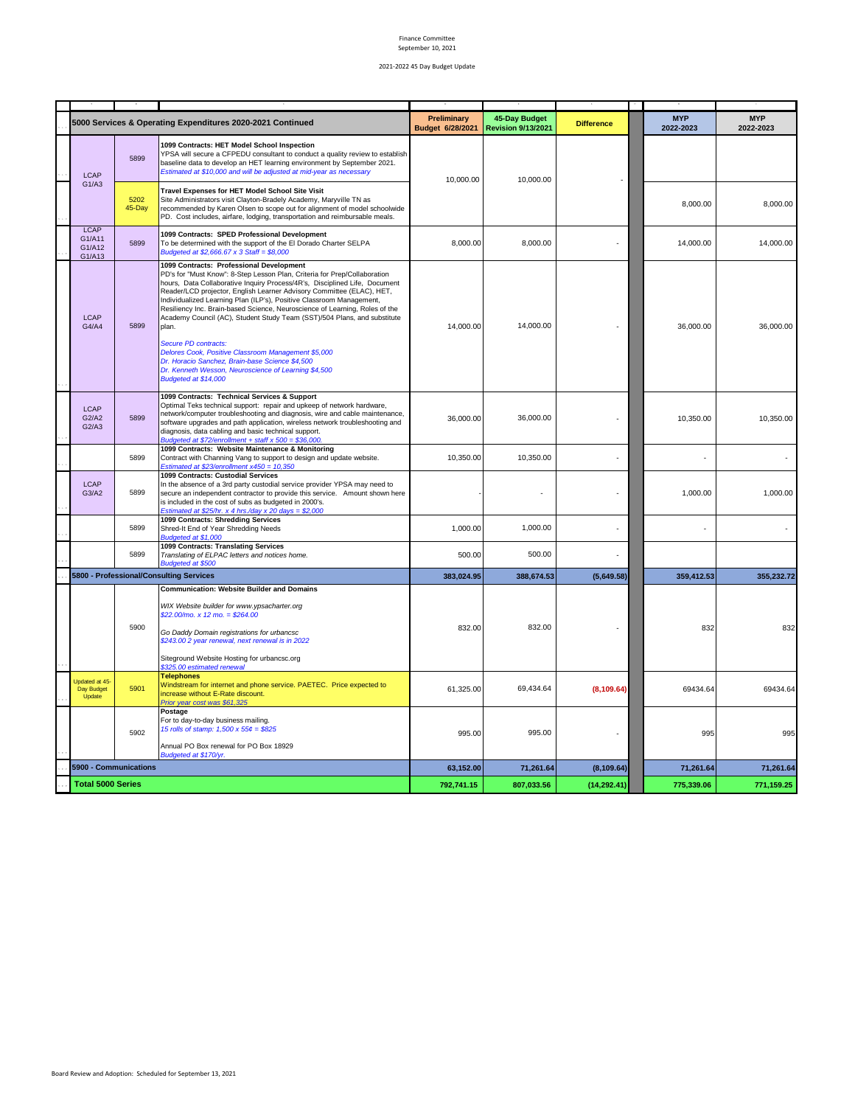| <b>MYP</b><br>45-Day Budget<br><b>MYP</b><br>Preliminary<br>5000 Services & Operating Expenditures 2020-2021 Continued<br><b>Difference</b><br>Budget 6/28/2021<br><b>Revision 9/13/2021</b><br>2022-2023<br>2022-2023<br>1099 Contracts: HET Model School Inspection<br>YPSA will secure a CFPEDU consultant to conduct a quality review to establish<br>5899<br>baseline data to develop an HET learning environment by September 2021.<br>Estimated at \$10,000 and will be adjusted at mid-year as necessary<br><b>LCAP</b><br>10,000.00<br>10,000.00<br>G1/A3<br>Travel Expenses for HET Model School Site Visit<br>5202<br>Site Administrators visit Clayton-Bradely Academy, Maryville TN as<br>8,000.00<br>8,000.00<br>45-Day<br>recommended by Karen Olsen to scope out for alignment of model schoolwide<br>PD. Cost includes, airfare, lodging, transportation and reimbursable meals.<br><b>LCAP</b><br>1099 Contracts: SPED Professional Development<br>G1/A11<br>5899<br>8,000.00<br>8,000.00<br>To be determined with the support of the El Dorado Charter SELPA<br>14,000.00<br>14,000.00<br>G1/A12<br>Budgeted at \$2,666.67 x 3 Staff = \$8,000<br>G1/A13<br>1099 Contracts: Professional Development<br>PD's for "Must Know": 8-Step Lesson Plan, Criteria for Prep/Collaboration<br>hours, Data Collaborative Inquiry Process/4R's, Disciplined Life, Document<br>Reader/LCD projector, English Learner Advisory Committee (ELAC), HET,<br>Individualized Learning Plan (ILP's), Positive Classroom Management,<br>Resiliency Inc. Brain-based Science, Neuroscience of Learning, Roles of the<br><b>LCAP</b><br>Academy Council (AC), Student Study Team (SST)/504 Plans, and substitute<br>G4/A4<br>5899<br>14,000.00<br>14,000.00<br>36,000.00<br>36,000.00<br>plan.<br>Secure PD contracts:<br>Delores Cook, Positive Classroom Management \$5,000<br>Dr. Horacio Sanchez, Brain-base Science \$4,500<br>Dr. Kenneth Wesson, Neuroscience of Learning \$4,500<br>Budgeted at \$14,000<br>1099 Contracts: Technical Services & Support<br>Optimal Teks technical support: repair and upkeep of network hardware,<br><b>LCAP</b><br>network/computer troubleshooting and diagnosis, wire and cable maintenance,<br>5899<br>36,000.00<br>G2/A2<br>36,000.00<br>10,350.00<br>10,350.00<br>software upgrades and path application, wireless network troubleshooting and<br>G2/A3<br>diagnosis, data cabling and basic technical support.<br>Budgeted at \$72/enrollment + staff $x 500 = $36,000$ .<br>1099 Contracts: Website Maintenance & Monitoring<br>5899<br>10,350.00<br>10,350.00<br>Contract with Channing Vang to support to design and update website.<br>Estimated at \$23/enrollment $x450 = 10,350$<br>1099 Contracts: Custodial Services<br><b>LCAP</b><br>In the absence of a 3rd party custodial service provider YPSA may need to<br>5899<br>G3/A2<br>secure an independent contractor to provide this service.  Amount shown here<br>1,000.00<br>1,000.00<br>is included in the cost of subs as budgeted in 2000's.<br>Estimated at \$25/hr. x 4 hrs./day x 20 days = \$2,000<br>1099 Contracts: Shredding Services<br>1,000.00<br>5899<br>Shred-It End of Year Shredding Needs<br>1,000.00<br>Budgeted at \$1,000<br>1099 Contracts: Translating Services<br>5899<br>500.00<br>Translating of ELPAC letters and notices home.<br>500.00<br>Budgeted at \$500<br>5800 - Professional/Consulting Services<br>383,024.95<br>388,674.53<br>359,412.53<br>355,232.72<br>(5,649.58)<br><b>Communication: Website Builder and Domains</b><br>WIX Website builder for www.ypsacharter.org<br>$$22.00/mol x 12 mo = $264.00$<br>5900<br>832.00<br>832.00<br>832<br>832<br>Go Daddy Domain registrations for urbancsc<br>\$243.00 2 year renewal, next renewal is in 2022<br>Siteground Website Hosting for urbancsc.org<br>\$325.00 estimated renewal<br><b>Telephones</b><br>Jpdated at 45-<br>Windstream for internet and phone service. PAETEC. Price expected to<br>5901<br>61,325.00<br>69,434.64<br>69434.64<br>69434.64<br>Day Budget<br>(8, 109.64)<br>increase without E-Rate discount.<br>Update<br>Prior year cost was \$61,325<br>Postage<br>For to day-to-day business mailing.<br>15 rolls of stamp: 1,500 x 55¢ = \$825<br>5902<br>995.00<br>995.00<br>995<br>995<br>Annual PO Box renewal for PO Box 18929<br>Budgeted at \$170/yr.<br>5900 - Communications<br>63,152.00<br>71,261.64<br>(8, 109.64)<br>71,261.64<br>71,261.64<br><b>Total 5000 Series</b><br>792,741.15<br>807,033.56<br>775,339.06<br>(14, 292.41)<br>771,159.25 |  |  |  |  |  |  |
|-----------------------------------------------------------------------------------------------------------------------------------------------------------------------------------------------------------------------------------------------------------------------------------------------------------------------------------------------------------------------------------------------------------------------------------------------------------------------------------------------------------------------------------------------------------------------------------------------------------------------------------------------------------------------------------------------------------------------------------------------------------------------------------------------------------------------------------------------------------------------------------------------------------------------------------------------------------------------------------------------------------------------------------------------------------------------------------------------------------------------------------------------------------------------------------------------------------------------------------------------------------------------------------------------------------------------------------------------------------------------------------------------------------------------------------------------------------------------------------------------------------------------------------------------------------------------------------------------------------------------------------------------------------------------------------------------------------------------------------------------------------------------------------------------------------------------------------------------------------------------------------------------------------------------------------------------------------------------------------------------------------------------------------------------------------------------------------------------------------------------------------------------------------------------------------------------------------------------------------------------------------------------------------------------------------------------------------------------------------------------------------------------------------------------------------------------------------------------------------------------------------------------------------------------------------------------------------------------------------------------------------------------------------------------------------------------------------------------------------------------------------------------------------------------------------------------------------------------------------------------------------------------------------------------------------------------------------------------------------------------------------------------------------------------------------------------------------------------------------------------------------------------------------------------------------------------------------------------------------------------------------------------------------------------------------------------------------------------------------------------------------------------------------------------------------------------------------------------------------------------------------------------------------------------------------------------------------------------------------------------------------------------------------------------------------------------------------------------------------------------------------------------------------------------------------------------------------------------------------------------------------------------------------------------------------------------------------------------------------------------------------------------------------------------------------------------------------------------------------------------------------------------------------------------------------------------------------------------------------------------------------------------------------------------------------------------------------------------------------------------------------------------------------------------------------------------------------------------------------------------------------------------------------------------------------------------------------|--|--|--|--|--|--|
|                                                                                                                                                                                                                                                                                                                                                                                                                                                                                                                                                                                                                                                                                                                                                                                                                                                                                                                                                                                                                                                                                                                                                                                                                                                                                                                                                                                                                                                                                                                                                                                                                                                                                                                                                                                                                                                                                                                                                                                                                                                                                                                                                                                                                                                                                                                                                                                                                                                                                                                                                                                                                                                                                                                                                                                                                                                                                                                                                                                                                                                                                                                                                                                                                                                                                                                                                                                                                                                                                                                                                                                                                                                                                                                                                                                                                                                                                                                                                                                                                                                                                                                                                                                                                                                                                                                                                                                                                                                                                                                                                                                   |  |  |  |  |  |  |
|                                                                                                                                                                                                                                                                                                                                                                                                                                                                                                                                                                                                                                                                                                                                                                                                                                                                                                                                                                                                                                                                                                                                                                                                                                                                                                                                                                                                                                                                                                                                                                                                                                                                                                                                                                                                                                                                                                                                                                                                                                                                                                                                                                                                                                                                                                                                                                                                                                                                                                                                                                                                                                                                                                                                                                                                                                                                                                                                                                                                                                                                                                                                                                                                                                                                                                                                                                                                                                                                                                                                                                                                                                                                                                                                                                                                                                                                                                                                                                                                                                                                                                                                                                                                                                                                                                                                                                                                                                                                                                                                                                                   |  |  |  |  |  |  |
|                                                                                                                                                                                                                                                                                                                                                                                                                                                                                                                                                                                                                                                                                                                                                                                                                                                                                                                                                                                                                                                                                                                                                                                                                                                                                                                                                                                                                                                                                                                                                                                                                                                                                                                                                                                                                                                                                                                                                                                                                                                                                                                                                                                                                                                                                                                                                                                                                                                                                                                                                                                                                                                                                                                                                                                                                                                                                                                                                                                                                                                                                                                                                                                                                                                                                                                                                                                                                                                                                                                                                                                                                                                                                                                                                                                                                                                                                                                                                                                                                                                                                                                                                                                                                                                                                                                                                                                                                                                                                                                                                                                   |  |  |  |  |  |  |
|                                                                                                                                                                                                                                                                                                                                                                                                                                                                                                                                                                                                                                                                                                                                                                                                                                                                                                                                                                                                                                                                                                                                                                                                                                                                                                                                                                                                                                                                                                                                                                                                                                                                                                                                                                                                                                                                                                                                                                                                                                                                                                                                                                                                                                                                                                                                                                                                                                                                                                                                                                                                                                                                                                                                                                                                                                                                                                                                                                                                                                                                                                                                                                                                                                                                                                                                                                                                                                                                                                                                                                                                                                                                                                                                                                                                                                                                                                                                                                                                                                                                                                                                                                                                                                                                                                                                                                                                                                                                                                                                                                                   |  |  |  |  |  |  |
|                                                                                                                                                                                                                                                                                                                                                                                                                                                                                                                                                                                                                                                                                                                                                                                                                                                                                                                                                                                                                                                                                                                                                                                                                                                                                                                                                                                                                                                                                                                                                                                                                                                                                                                                                                                                                                                                                                                                                                                                                                                                                                                                                                                                                                                                                                                                                                                                                                                                                                                                                                                                                                                                                                                                                                                                                                                                                                                                                                                                                                                                                                                                                                                                                                                                                                                                                                                                                                                                                                                                                                                                                                                                                                                                                                                                                                                                                                                                                                                                                                                                                                                                                                                                                                                                                                                                                                                                                                                                                                                                                                                   |  |  |  |  |  |  |
|                                                                                                                                                                                                                                                                                                                                                                                                                                                                                                                                                                                                                                                                                                                                                                                                                                                                                                                                                                                                                                                                                                                                                                                                                                                                                                                                                                                                                                                                                                                                                                                                                                                                                                                                                                                                                                                                                                                                                                                                                                                                                                                                                                                                                                                                                                                                                                                                                                                                                                                                                                                                                                                                                                                                                                                                                                                                                                                                                                                                                                                                                                                                                                                                                                                                                                                                                                                                                                                                                                                                                                                                                                                                                                                                                                                                                                                                                                                                                                                                                                                                                                                                                                                                                                                                                                                                                                                                                                                                                                                                                                                   |  |  |  |  |  |  |
|                                                                                                                                                                                                                                                                                                                                                                                                                                                                                                                                                                                                                                                                                                                                                                                                                                                                                                                                                                                                                                                                                                                                                                                                                                                                                                                                                                                                                                                                                                                                                                                                                                                                                                                                                                                                                                                                                                                                                                                                                                                                                                                                                                                                                                                                                                                                                                                                                                                                                                                                                                                                                                                                                                                                                                                                                                                                                                                                                                                                                                                                                                                                                                                                                                                                                                                                                                                                                                                                                                                                                                                                                                                                                                                                                                                                                                                                                                                                                                                                                                                                                                                                                                                                                                                                                                                                                                                                                                                                                                                                                                                   |  |  |  |  |  |  |
|                                                                                                                                                                                                                                                                                                                                                                                                                                                                                                                                                                                                                                                                                                                                                                                                                                                                                                                                                                                                                                                                                                                                                                                                                                                                                                                                                                                                                                                                                                                                                                                                                                                                                                                                                                                                                                                                                                                                                                                                                                                                                                                                                                                                                                                                                                                                                                                                                                                                                                                                                                                                                                                                                                                                                                                                                                                                                                                                                                                                                                                                                                                                                                                                                                                                                                                                                                                                                                                                                                                                                                                                                                                                                                                                                                                                                                                                                                                                                                                                                                                                                                                                                                                                                                                                                                                                                                                                                                                                                                                                                                                   |  |  |  |  |  |  |
|                                                                                                                                                                                                                                                                                                                                                                                                                                                                                                                                                                                                                                                                                                                                                                                                                                                                                                                                                                                                                                                                                                                                                                                                                                                                                                                                                                                                                                                                                                                                                                                                                                                                                                                                                                                                                                                                                                                                                                                                                                                                                                                                                                                                                                                                                                                                                                                                                                                                                                                                                                                                                                                                                                                                                                                                                                                                                                                                                                                                                                                                                                                                                                                                                                                                                                                                                                                                                                                                                                                                                                                                                                                                                                                                                                                                                                                                                                                                                                                                                                                                                                                                                                                                                                                                                                                                                                                                                                                                                                                                                                                   |  |  |  |  |  |  |
|                                                                                                                                                                                                                                                                                                                                                                                                                                                                                                                                                                                                                                                                                                                                                                                                                                                                                                                                                                                                                                                                                                                                                                                                                                                                                                                                                                                                                                                                                                                                                                                                                                                                                                                                                                                                                                                                                                                                                                                                                                                                                                                                                                                                                                                                                                                                                                                                                                                                                                                                                                                                                                                                                                                                                                                                                                                                                                                                                                                                                                                                                                                                                                                                                                                                                                                                                                                                                                                                                                                                                                                                                                                                                                                                                                                                                                                                                                                                                                                                                                                                                                                                                                                                                                                                                                                                                                                                                                                                                                                                                                                   |  |  |  |  |  |  |
|                                                                                                                                                                                                                                                                                                                                                                                                                                                                                                                                                                                                                                                                                                                                                                                                                                                                                                                                                                                                                                                                                                                                                                                                                                                                                                                                                                                                                                                                                                                                                                                                                                                                                                                                                                                                                                                                                                                                                                                                                                                                                                                                                                                                                                                                                                                                                                                                                                                                                                                                                                                                                                                                                                                                                                                                                                                                                                                                                                                                                                                                                                                                                                                                                                                                                                                                                                                                                                                                                                                                                                                                                                                                                                                                                                                                                                                                                                                                                                                                                                                                                                                                                                                                                                                                                                                                                                                                                                                                                                                                                                                   |  |  |  |  |  |  |
|                                                                                                                                                                                                                                                                                                                                                                                                                                                                                                                                                                                                                                                                                                                                                                                                                                                                                                                                                                                                                                                                                                                                                                                                                                                                                                                                                                                                                                                                                                                                                                                                                                                                                                                                                                                                                                                                                                                                                                                                                                                                                                                                                                                                                                                                                                                                                                                                                                                                                                                                                                                                                                                                                                                                                                                                                                                                                                                                                                                                                                                                                                                                                                                                                                                                                                                                                                                                                                                                                                                                                                                                                                                                                                                                                                                                                                                                                                                                                                                                                                                                                                                                                                                                                                                                                                                                                                                                                                                                                                                                                                                   |  |  |  |  |  |  |
|                                                                                                                                                                                                                                                                                                                                                                                                                                                                                                                                                                                                                                                                                                                                                                                                                                                                                                                                                                                                                                                                                                                                                                                                                                                                                                                                                                                                                                                                                                                                                                                                                                                                                                                                                                                                                                                                                                                                                                                                                                                                                                                                                                                                                                                                                                                                                                                                                                                                                                                                                                                                                                                                                                                                                                                                                                                                                                                                                                                                                                                                                                                                                                                                                                                                                                                                                                                                                                                                                                                                                                                                                                                                                                                                                                                                                                                                                                                                                                                                                                                                                                                                                                                                                                                                                                                                                                                                                                                                                                                                                                                   |  |  |  |  |  |  |
|                                                                                                                                                                                                                                                                                                                                                                                                                                                                                                                                                                                                                                                                                                                                                                                                                                                                                                                                                                                                                                                                                                                                                                                                                                                                                                                                                                                                                                                                                                                                                                                                                                                                                                                                                                                                                                                                                                                                                                                                                                                                                                                                                                                                                                                                                                                                                                                                                                                                                                                                                                                                                                                                                                                                                                                                                                                                                                                                                                                                                                                                                                                                                                                                                                                                                                                                                                                                                                                                                                                                                                                                                                                                                                                                                                                                                                                                                                                                                                                                                                                                                                                                                                                                                                                                                                                                                                                                                                                                                                                                                                                   |  |  |  |  |  |  |
|                                                                                                                                                                                                                                                                                                                                                                                                                                                                                                                                                                                                                                                                                                                                                                                                                                                                                                                                                                                                                                                                                                                                                                                                                                                                                                                                                                                                                                                                                                                                                                                                                                                                                                                                                                                                                                                                                                                                                                                                                                                                                                                                                                                                                                                                                                                                                                                                                                                                                                                                                                                                                                                                                                                                                                                                                                                                                                                                                                                                                                                                                                                                                                                                                                                                                                                                                                                                                                                                                                                                                                                                                                                                                                                                                                                                                                                                                                                                                                                                                                                                                                                                                                                                                                                                                                                                                                                                                                                                                                                                                                                   |  |  |  |  |  |  |
|                                                                                                                                                                                                                                                                                                                                                                                                                                                                                                                                                                                                                                                                                                                                                                                                                                                                                                                                                                                                                                                                                                                                                                                                                                                                                                                                                                                                                                                                                                                                                                                                                                                                                                                                                                                                                                                                                                                                                                                                                                                                                                                                                                                                                                                                                                                                                                                                                                                                                                                                                                                                                                                                                                                                                                                                                                                                                                                                                                                                                                                                                                                                                                                                                                                                                                                                                                                                                                                                                                                                                                                                                                                                                                                                                                                                                                                                                                                                                                                                                                                                                                                                                                                                                                                                                                                                                                                                                                                                                                                                                                                   |  |  |  |  |  |  |